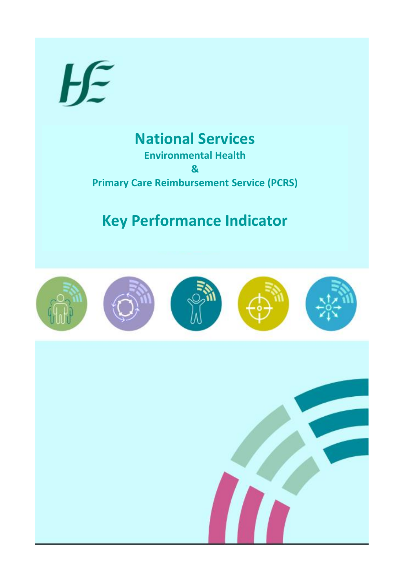

## **National Services Environmental Health**

**& Primary Care Reimbursement Service (PCRS)** 

# **Key Performance Indicator**

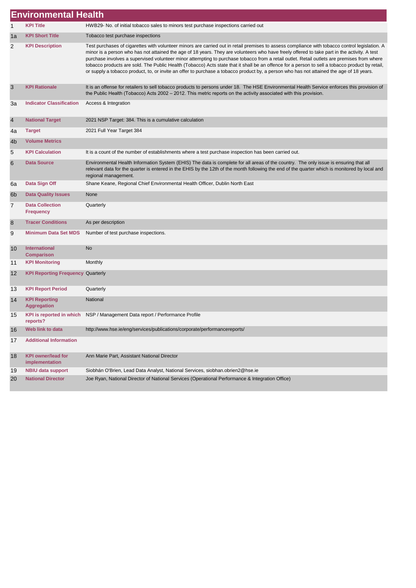|    | <b>Environmental Health</b>                 |                                                                                                                                                                                                                                                                                                                                                                                                                                                                                                                                                                                                                                                                                                                                             |
|----|---------------------------------------------|---------------------------------------------------------------------------------------------------------------------------------------------------------------------------------------------------------------------------------------------------------------------------------------------------------------------------------------------------------------------------------------------------------------------------------------------------------------------------------------------------------------------------------------------------------------------------------------------------------------------------------------------------------------------------------------------------------------------------------------------|
|    | <b>KPI Title</b>                            | HWB29- No. of initial tobacco sales to minors test purchase inspections carried out                                                                                                                                                                                                                                                                                                                                                                                                                                                                                                                                                                                                                                                         |
| 1a | <b>KPI Short Title</b>                      | Tobacco test purchase inspections                                                                                                                                                                                                                                                                                                                                                                                                                                                                                                                                                                                                                                                                                                           |
| 2  | <b>KPI Description</b>                      | Test purchases of cigarettes with volunteer minors are carried out in retail premises to assess compliance with tobacco control legislation. A<br>minor is a person who has not attained the age of 18 years. They are volunteers who have freely offered to take part in the activity. A test<br>purchase involves a supervised volunteer minor attempting to purchase tobacco from a retail outlet. Retail outlets are premises from where<br>tobacco products are sold. The Public Health (Tobacco) Acts state that it shall be an offence for a person to sell a tobacco product by retail,<br>or supply a tobacco product, to, or invite an offer to purchase a tobacco product by, a person who has not attained the age of 18 years. |
| 3  | <b>KPI Rationale</b>                        | It is an offense for retailers to sell tobacco products to persons under 18. The HSE Environmental Health Service enforces this provision of<br>the Public Health (Tobacco) Acts 2002 – 2012. This metric reports on the activity associated with this provision.                                                                                                                                                                                                                                                                                                                                                                                                                                                                           |
| За | <b>Indicator Classification</b>             | Access & Integration                                                                                                                                                                                                                                                                                                                                                                                                                                                                                                                                                                                                                                                                                                                        |
| 4  | <b>National Target</b>                      | 2021 NSP Target: 384. This is a cumulative calculation                                                                                                                                                                                                                                                                                                                                                                                                                                                                                                                                                                                                                                                                                      |
| 4a | <b>Target</b>                               | 2021 Full Year Target 384                                                                                                                                                                                                                                                                                                                                                                                                                                                                                                                                                                                                                                                                                                                   |
| 4b | <b>Volume Metrics</b>                       |                                                                                                                                                                                                                                                                                                                                                                                                                                                                                                                                                                                                                                                                                                                                             |
| 5  | <b>KPI Calculation</b>                      | It is a count of the number of establishments where a test purchase inspection has been carried out.                                                                                                                                                                                                                                                                                                                                                                                                                                                                                                                                                                                                                                        |
| 6  | <b>Data Source</b>                          | Environmental Health Information System (EHIS) The data is complete for all areas of the country. The only issue is ensuring that all<br>relevant data for the quarter is entered in the EHIS by the 12th of the month following the end of the quarter which is monitored by local and<br>regional management.                                                                                                                                                                                                                                                                                                                                                                                                                             |
| 6а | Data Sign Off                               | Shane Keane, Regional Chief Environmental Health Officer, Dublin North East                                                                                                                                                                                                                                                                                                                                                                                                                                                                                                                                                                                                                                                                 |
| 6b | <b>Data Quality Issues</b>                  | None                                                                                                                                                                                                                                                                                                                                                                                                                                                                                                                                                                                                                                                                                                                                        |
| 7  | <b>Data Collection</b><br><b>Frequency</b>  | Quarterly                                                                                                                                                                                                                                                                                                                                                                                                                                                                                                                                                                                                                                                                                                                                   |
| 8  | <b>Tracer Conditions</b>                    | As per description                                                                                                                                                                                                                                                                                                                                                                                                                                                                                                                                                                                                                                                                                                                          |
| 9  | <b>Minimum Data Set MDS</b>                 | Number of test purchase inspections.                                                                                                                                                                                                                                                                                                                                                                                                                                                                                                                                                                                                                                                                                                        |
| 10 | International<br><b>Comparison</b>          | <b>No</b>                                                                                                                                                                                                                                                                                                                                                                                                                                                                                                                                                                                                                                                                                                                                   |
| 11 | <b>KPI Monitoring</b>                       | Monthly                                                                                                                                                                                                                                                                                                                                                                                                                                                                                                                                                                                                                                                                                                                                     |
| 12 | <b>KPI Reporting Frequency Quarterly</b>    |                                                                                                                                                                                                                                                                                                                                                                                                                                                                                                                                                                                                                                                                                                                                             |
| 13 | <b>KPI Report Period</b>                    | Quarterly                                                                                                                                                                                                                                                                                                                                                                                                                                                                                                                                                                                                                                                                                                                                   |
| 14 | <b>KPI Reporting</b><br><b>Aggregation</b>  | National                                                                                                                                                                                                                                                                                                                                                                                                                                                                                                                                                                                                                                                                                                                                    |
| 15 | reports?                                    | KPI is reported in which NSP / Management Data report / Performance Profile                                                                                                                                                                                                                                                                                                                                                                                                                                                                                                                                                                                                                                                                 |
| 16 | Web link to data                            | http://www.hse.ie/eng/services/publications/corporate/performancereports/                                                                                                                                                                                                                                                                                                                                                                                                                                                                                                                                                                                                                                                                   |
| 17 | <b>Additional Information</b>               |                                                                                                                                                                                                                                                                                                                                                                                                                                                                                                                                                                                                                                                                                                                                             |
| 18 | <b>KPI owner/lead for</b><br>implementation | Ann Marie Part, Assistant National Director                                                                                                                                                                                                                                                                                                                                                                                                                                                                                                                                                                                                                                                                                                 |
| 19 | <b>NBIU data support</b>                    | Siobhán O'Brien, Lead Data Analyst, National Services, siobhan.obrien2@hse.ie                                                                                                                                                                                                                                                                                                                                                                                                                                                                                                                                                                                                                                                               |
| 20 | <b>National Director</b>                    | Joe Ryan, National Director of National Services (Operational Performance & Integration Office)                                                                                                                                                                                                                                                                                                                                                                                                                                                                                                                                                                                                                                             |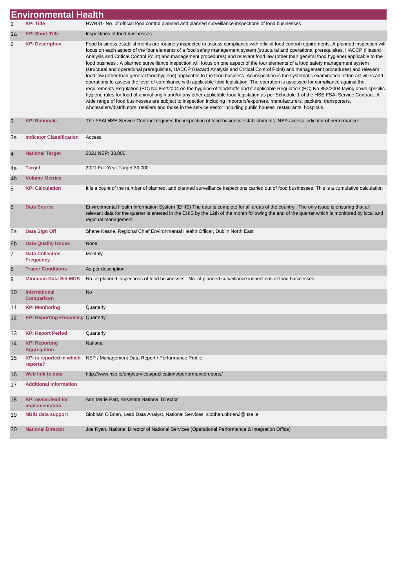|                | <b>Environmental Health</b>                 |                                                                                                                                                                                                                                                                                                                                                                                                                                                                                                                                                                                                                                                                                                                                                                                                                                                                                                                                                                                                                                                                                                                                                                                                                                                                                                                                                                                                                                                                                                                                                            |  |
|----------------|---------------------------------------------|------------------------------------------------------------------------------------------------------------------------------------------------------------------------------------------------------------------------------------------------------------------------------------------------------------------------------------------------------------------------------------------------------------------------------------------------------------------------------------------------------------------------------------------------------------------------------------------------------------------------------------------------------------------------------------------------------------------------------------------------------------------------------------------------------------------------------------------------------------------------------------------------------------------------------------------------------------------------------------------------------------------------------------------------------------------------------------------------------------------------------------------------------------------------------------------------------------------------------------------------------------------------------------------------------------------------------------------------------------------------------------------------------------------------------------------------------------------------------------------------------------------------------------------------------------|--|
| 1              | <b>KPI Title</b>                            | HWB31- No. of official food control planned and planned surveillance inspections of food businesses                                                                                                                                                                                                                                                                                                                                                                                                                                                                                                                                                                                                                                                                                                                                                                                                                                                                                                                                                                                                                                                                                                                                                                                                                                                                                                                                                                                                                                                        |  |
| 1a             | <b>KPI Short Title</b>                      | Inspections of food businesses                                                                                                                                                                                                                                                                                                                                                                                                                                                                                                                                                                                                                                                                                                                                                                                                                                                                                                                                                                                                                                                                                                                                                                                                                                                                                                                                                                                                                                                                                                                             |  |
| 2              | <b>KPI Description</b>                      | Food business establishments are routinely inspected to assess compliance with official food control requirements. A planned inspection will<br>focus on each aspect of the four elements of a food safety management system (structural and operational prerequisites, HACCP (Hazard<br>Analysis and Critical Control Point) and management procedures) and relevant food law (other than general food hygiene) applicable to the<br>food business. A planned surveillance inspection will focus on one aspect of the four elements of a food safety management system<br>(structural and operational prerequisites, HACCP (Hazard Analysis and Critical Control Point) and management procedures) and relevant<br>food law (other than general food hygiene) applicable to the food business. An inspection is the systematic examination of the activities and<br>operations to assess the level of compliance with applicable food legislation. The operation is assessed for compliance against the<br>requirements Regulation (EC) No 852/2004 on the hygiene of foodstuffs and if applicable Regulation (EC) No 853/2004 laying down specific<br>hygiene rules for food of animal origin and/or any other applicable food legislation as per Schedule 1 of the HSE FSAI Service Contract. A<br>wide range of food businesses are subject to inspection including importers/exporters, manufacturers, packers, transporters,<br>wholesalers/distributors, retailers and those in the service sector including public houses, restaurants, hospitals. |  |
| 3              | <b>KPI Rationale</b>                        | The FSAI HSE Service Contract requires the inspection of food business establishments. NSP access indicator of performance.                                                                                                                                                                                                                                                                                                                                                                                                                                                                                                                                                                                                                                                                                                                                                                                                                                                                                                                                                                                                                                                                                                                                                                                                                                                                                                                                                                                                                                |  |
| 3a             | <b>Indicator Classification</b>             | Access                                                                                                                                                                                                                                                                                                                                                                                                                                                                                                                                                                                                                                                                                                                                                                                                                                                                                                                                                                                                                                                                                                                                                                                                                                                                                                                                                                                                                                                                                                                                                     |  |
| $\overline{4}$ | <b>National Target</b>                      | 2021 NSP: 33,000                                                                                                                                                                                                                                                                                                                                                                                                                                                                                                                                                                                                                                                                                                                                                                                                                                                                                                                                                                                                                                                                                                                                                                                                                                                                                                                                                                                                                                                                                                                                           |  |
| 4a             | <b>Target</b>                               | 2021 Full Year Target 33,000                                                                                                                                                                                                                                                                                                                                                                                                                                                                                                                                                                                                                                                                                                                                                                                                                                                                                                                                                                                                                                                                                                                                                                                                                                                                                                                                                                                                                                                                                                                               |  |
| 4b             | <b>Volume Metrics</b>                       |                                                                                                                                                                                                                                                                                                                                                                                                                                                                                                                                                                                                                                                                                                                                                                                                                                                                                                                                                                                                                                                                                                                                                                                                                                                                                                                                                                                                                                                                                                                                                            |  |
| 5              | <b>KPI Calculation</b>                      | It is a count of the number of planned, and planned surveillance inspections carried out of food businesses. This is a cumulative calculation                                                                                                                                                                                                                                                                                                                                                                                                                                                                                                                                                                                                                                                                                                                                                                                                                                                                                                                                                                                                                                                                                                                                                                                                                                                                                                                                                                                                              |  |
| 6              | <b>Data Source</b>                          | Environmental Health Information System (EHIS) The data is complete for all areas of the country. The only issue is ensuring that all<br>relevant data for the quarter is entered in the EHIS by the 12th of the month following the end of the quarter which is monitored by local and<br>regional management.                                                                                                                                                                                                                                                                                                                                                                                                                                                                                                                                                                                                                                                                                                                                                                                                                                                                                                                                                                                                                                                                                                                                                                                                                                            |  |
| 6a             | Data Sign Off                               | Shane Keane, Regional Chief Environmental Health Officer, Dublin North East                                                                                                                                                                                                                                                                                                                                                                                                                                                                                                                                                                                                                                                                                                                                                                                                                                                                                                                                                                                                                                                                                                                                                                                                                                                                                                                                                                                                                                                                                |  |
| 6 <sub>b</sub> | <b>Data Quality Issues</b>                  | None                                                                                                                                                                                                                                                                                                                                                                                                                                                                                                                                                                                                                                                                                                                                                                                                                                                                                                                                                                                                                                                                                                                                                                                                                                                                                                                                                                                                                                                                                                                                                       |  |
| 7              | <b>Data Collection</b><br><b>Frequency</b>  | Monthly                                                                                                                                                                                                                                                                                                                                                                                                                                                                                                                                                                                                                                                                                                                                                                                                                                                                                                                                                                                                                                                                                                                                                                                                                                                                                                                                                                                                                                                                                                                                                    |  |
| 8              | <b>Tracer Conditions</b>                    | As per description                                                                                                                                                                                                                                                                                                                                                                                                                                                                                                                                                                                                                                                                                                                                                                                                                                                                                                                                                                                                                                                                                                                                                                                                                                                                                                                                                                                                                                                                                                                                         |  |
| 9              | <b>Minimum Data Set MDS</b>                 | No. of planned inspections of food businesses. No. of planned surveillance inspections of food businesses.                                                                                                                                                                                                                                                                                                                                                                                                                                                                                                                                                                                                                                                                                                                                                                                                                                                                                                                                                                                                                                                                                                                                                                                                                                                                                                                                                                                                                                                 |  |
| 10             | <b>International</b><br><b>Comparison</b>   | No                                                                                                                                                                                                                                                                                                                                                                                                                                                                                                                                                                                                                                                                                                                                                                                                                                                                                                                                                                                                                                                                                                                                                                                                                                                                                                                                                                                                                                                                                                                                                         |  |
| 11             | <b>KPI Monitoring</b>                       | Quarterly                                                                                                                                                                                                                                                                                                                                                                                                                                                                                                                                                                                                                                                                                                                                                                                                                                                                                                                                                                                                                                                                                                                                                                                                                                                                                                                                                                                                                                                                                                                                                  |  |
| 12             | <b>KPI Reporting Frequency Quarterly</b>    |                                                                                                                                                                                                                                                                                                                                                                                                                                                                                                                                                                                                                                                                                                                                                                                                                                                                                                                                                                                                                                                                                                                                                                                                                                                                                                                                                                                                                                                                                                                                                            |  |
| 13             | <b>KPI Report Period</b>                    | Quarterly                                                                                                                                                                                                                                                                                                                                                                                                                                                                                                                                                                                                                                                                                                                                                                                                                                                                                                                                                                                                                                                                                                                                                                                                                                                                                                                                                                                                                                                                                                                                                  |  |
| 14             | <b>KPI Reporting</b><br><b>Aggregation</b>  | National                                                                                                                                                                                                                                                                                                                                                                                                                                                                                                                                                                                                                                                                                                                                                                                                                                                                                                                                                                                                                                                                                                                                                                                                                                                                                                                                                                                                                                                                                                                                                   |  |
| 15             | <b>KPI</b> is reported in which<br>reports? | NSP / Management Data Report / Performance Profile                                                                                                                                                                                                                                                                                                                                                                                                                                                                                                                                                                                                                                                                                                                                                                                                                                                                                                                                                                                                                                                                                                                                                                                                                                                                                                                                                                                                                                                                                                         |  |
| 16             | Web link to data                            | http://www.hse.ie/eng/services/publications/performancereports/                                                                                                                                                                                                                                                                                                                                                                                                                                                                                                                                                                                                                                                                                                                                                                                                                                                                                                                                                                                                                                                                                                                                                                                                                                                                                                                                                                                                                                                                                            |  |
| 17             | <b>Additional Information</b>               |                                                                                                                                                                                                                                                                                                                                                                                                                                                                                                                                                                                                                                                                                                                                                                                                                                                                                                                                                                                                                                                                                                                                                                                                                                                                                                                                                                                                                                                                                                                                                            |  |
| 18             | <b>KPI owner/lead for</b><br>implementation | Ann Marie Part, Assistant National Director                                                                                                                                                                                                                                                                                                                                                                                                                                                                                                                                                                                                                                                                                                                                                                                                                                                                                                                                                                                                                                                                                                                                                                                                                                                                                                                                                                                                                                                                                                                |  |
| 19             | <b>NBIU data support</b>                    | Siobhán O'Brien, Lead Data Analyst, National Services, siobhan.obrien2@hse.ie                                                                                                                                                                                                                                                                                                                                                                                                                                                                                                                                                                                                                                                                                                                                                                                                                                                                                                                                                                                                                                                                                                                                                                                                                                                                                                                                                                                                                                                                              |  |
| 20             | <b>National Director</b>                    | Joe Ryan, National Director of National Services (Operational Performance & Integration Office)                                                                                                                                                                                                                                                                                                                                                                                                                                                                                                                                                                                                                                                                                                                                                                                                                                                                                                                                                                                                                                                                                                                                                                                                                                                                                                                                                                                                                                                            |  |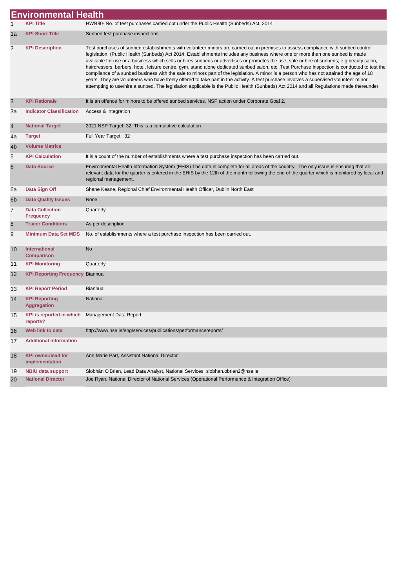|    | <b>Environmental Health</b>                 |                                                                                                                                                                                                                                                                                                                                                                                                                                                                                                                                                                                                                                                                                                                                                                                                                                                                                                                                                                                                      |  |
|----|---------------------------------------------|------------------------------------------------------------------------------------------------------------------------------------------------------------------------------------------------------------------------------------------------------------------------------------------------------------------------------------------------------------------------------------------------------------------------------------------------------------------------------------------------------------------------------------------------------------------------------------------------------------------------------------------------------------------------------------------------------------------------------------------------------------------------------------------------------------------------------------------------------------------------------------------------------------------------------------------------------------------------------------------------------|--|
| 1  | <b>KPI Title</b>                            | HWB80- No. of test purchases carried out under the Public Health (Sunbeds) Act, 2014                                                                                                                                                                                                                                                                                                                                                                                                                                                                                                                                                                                                                                                                                                                                                                                                                                                                                                                 |  |
| 1a | <b>KPI Short Title</b>                      | Sunbed test purchase inspections                                                                                                                                                                                                                                                                                                                                                                                                                                                                                                                                                                                                                                                                                                                                                                                                                                                                                                                                                                     |  |
| 2  | <b>KPI Description</b>                      | Test purchases of sunbed establishments with volunteer minors are carried out in premises to assess compliance with sunbed control<br>legislation. (Public Health (Sunbeds) Act 2014. Establishments includes any business where one or more than one sunbed is made<br>available for use or a business which sells or hires sunbeds or advertises or promotes the use, sale or hire of sunbeds; e.g beauty salon,<br>hairdressers, barbers, hotel, leisure centre, gym, stand alone dedicated sunbed salon, etc. Test Purchase Inspection is conducted to test the<br>compliance of a sunbed business with the sale to minors part of the legislation. A minor is a person who has not attained the age of 18<br>years. They are volunteers who have freely offered to take part in the activity. A test purchase involves a supervised volunteer minor<br>attempting to use/hire a sunbed. The legislation applicable is the Public Health (Sunbeds) Act 2014 and all Regulations made thereunder. |  |
| 3  | <b>KPI Rationale</b>                        | It is an offence for minors to be offered sunbed services. NSP action under Corporate Goal 2.                                                                                                                                                                                                                                                                                                                                                                                                                                                                                                                                                                                                                                                                                                                                                                                                                                                                                                        |  |
| За | <b>Indicator Classification</b>             | Access & Integration                                                                                                                                                                                                                                                                                                                                                                                                                                                                                                                                                                                                                                                                                                                                                                                                                                                                                                                                                                                 |  |
| 4  | <b>National Target</b>                      | 2021 NSP Target: 32. This is a cumulative calculation                                                                                                                                                                                                                                                                                                                                                                                                                                                                                                                                                                                                                                                                                                                                                                                                                                                                                                                                                |  |
| 4a | <b>Target</b>                               | Full Year Target: 32                                                                                                                                                                                                                                                                                                                                                                                                                                                                                                                                                                                                                                                                                                                                                                                                                                                                                                                                                                                 |  |
| 4b | <b>Volume Metrics</b>                       |                                                                                                                                                                                                                                                                                                                                                                                                                                                                                                                                                                                                                                                                                                                                                                                                                                                                                                                                                                                                      |  |
| 5  | <b>KPI Calculation</b>                      | It is a count of the number of establishments where a test purchase inspection has been carried out.                                                                                                                                                                                                                                                                                                                                                                                                                                                                                                                                                                                                                                                                                                                                                                                                                                                                                                 |  |
| 6  | <b>Data Source</b>                          | Environmental Health Information System (EHIS) The data is complete for all areas of the country. The only issue is ensuring that all<br>relevant data for the quarter is entered in the EHIS by the 12th of the month following the end of the quarter which is monitored by local and<br>regional management.                                                                                                                                                                                                                                                                                                                                                                                                                                                                                                                                                                                                                                                                                      |  |
| 6а | Data Sign Off                               | Shane Keane, Regional Chief Environmental Health Officer, Dublin North East                                                                                                                                                                                                                                                                                                                                                                                                                                                                                                                                                                                                                                                                                                                                                                                                                                                                                                                          |  |
| 6b | <b>Data Quality Issues</b>                  | None                                                                                                                                                                                                                                                                                                                                                                                                                                                                                                                                                                                                                                                                                                                                                                                                                                                                                                                                                                                                 |  |
| 7  | <b>Data Collection</b><br><b>Frequency</b>  | Quarterly                                                                                                                                                                                                                                                                                                                                                                                                                                                                                                                                                                                                                                                                                                                                                                                                                                                                                                                                                                                            |  |
| 8  | <b>Tracer Conditions</b>                    | As per description                                                                                                                                                                                                                                                                                                                                                                                                                                                                                                                                                                                                                                                                                                                                                                                                                                                                                                                                                                                   |  |
| 9  | <b>Minimum Data Set MDS</b>                 | No. of establishments where a test purchase inspection has been carried out.                                                                                                                                                                                                                                                                                                                                                                                                                                                                                                                                                                                                                                                                                                                                                                                                                                                                                                                         |  |
| 10 | <b>International</b><br><b>Comparison</b>   | <b>No</b>                                                                                                                                                                                                                                                                                                                                                                                                                                                                                                                                                                                                                                                                                                                                                                                                                                                                                                                                                                                            |  |
| 11 | <b>KPI Monitoring</b>                       | Quarterly                                                                                                                                                                                                                                                                                                                                                                                                                                                                                                                                                                                                                                                                                                                                                                                                                                                                                                                                                                                            |  |
| 12 | <b>KPI Reporting Frequency Biannual</b>     |                                                                                                                                                                                                                                                                                                                                                                                                                                                                                                                                                                                                                                                                                                                                                                                                                                                                                                                                                                                                      |  |
| 13 | <b>KPI Report Period</b>                    | <b>Biannual</b>                                                                                                                                                                                                                                                                                                                                                                                                                                                                                                                                                                                                                                                                                                                                                                                                                                                                                                                                                                                      |  |
| 14 | <b>KPI Reporting</b><br><b>Aggregation</b>  | National                                                                                                                                                                                                                                                                                                                                                                                                                                                                                                                                                                                                                                                                                                                                                                                                                                                                                                                                                                                             |  |
| 15 | <b>KPI</b> is reported in which<br>reports? | Management Data Report                                                                                                                                                                                                                                                                                                                                                                                                                                                                                                                                                                                                                                                                                                                                                                                                                                                                                                                                                                               |  |
| 16 | Web link to data                            | http://www.hse.ie/eng/services/publications/performancereports/                                                                                                                                                                                                                                                                                                                                                                                                                                                                                                                                                                                                                                                                                                                                                                                                                                                                                                                                      |  |
| 17 | <b>Additional Information</b>               |                                                                                                                                                                                                                                                                                                                                                                                                                                                                                                                                                                                                                                                                                                                                                                                                                                                                                                                                                                                                      |  |
| 18 | <b>KPI owner/lead for</b><br>implementation | Ann Marie Part, Assistant National Director                                                                                                                                                                                                                                                                                                                                                                                                                                                                                                                                                                                                                                                                                                                                                                                                                                                                                                                                                          |  |
| 19 | <b>NBIU data support</b>                    | Siobhán O'Brien, Lead Data Analyst, National Services, siobhan.obrien2@hse.ie                                                                                                                                                                                                                                                                                                                                                                                                                                                                                                                                                                                                                                                                                                                                                                                                                                                                                                                        |  |
| 20 | <b>National Director</b>                    | Joe Ryan, National Director of National Services (Operational Performance & Integration Office)                                                                                                                                                                                                                                                                                                                                                                                                                                                                                                                                                                                                                                                                                                                                                                                                                                                                                                      |  |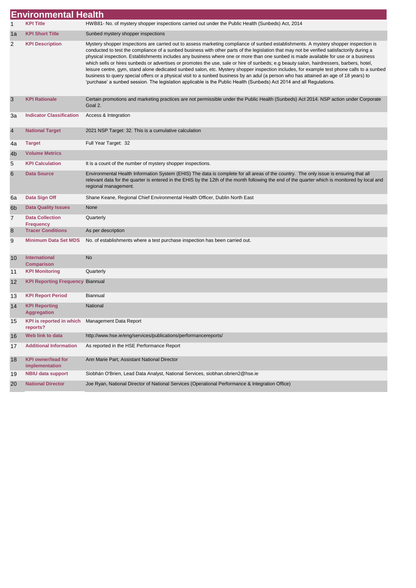|                | <b>Environmental Health</b>                                    |                                                                                                                                                                                                                                                                                                                                                                                                                                                                                                                                                                                                                                                                                                                                                                                                                                                                                                                                                                                        |
|----------------|----------------------------------------------------------------|----------------------------------------------------------------------------------------------------------------------------------------------------------------------------------------------------------------------------------------------------------------------------------------------------------------------------------------------------------------------------------------------------------------------------------------------------------------------------------------------------------------------------------------------------------------------------------------------------------------------------------------------------------------------------------------------------------------------------------------------------------------------------------------------------------------------------------------------------------------------------------------------------------------------------------------------------------------------------------------|
| 1              | <b>KPI Title</b>                                               | HWB81- No. of mystery shopper inspections carried out under the Public Health (Sunbeds) Act, 2014                                                                                                                                                                                                                                                                                                                                                                                                                                                                                                                                                                                                                                                                                                                                                                                                                                                                                      |
| 1a             | <b>KPI Short Title</b>                                         | Sunbed mystery shopper inspections                                                                                                                                                                                                                                                                                                                                                                                                                                                                                                                                                                                                                                                                                                                                                                                                                                                                                                                                                     |
| 2              | <b>KPI Description</b>                                         | Mystery shopper inspections are carried out to assess marketing compliance of sunbed establishments. A mystery shopper inspection is<br>conducted to test the compliance of a sunbed business with other parts of the legislation that may not be verified satisfactorily during a<br>physical inspection. Establishments includes any business where one or more than one sunbed is made available for use or a business<br>which sells or hires sunbeds or advertises or promotes the use, sale or hire of sunbeds; e.g beauty salon, hairdressers, barbers, hotel,<br>leisure centre, gym, stand alone dedicated sunbed salon, etc. Mystery shopper inspection includes, for example test phone calls to a sunbed<br>business to query special offers or a physical visit to a sunbed business by an adul (a person who has attained an age of 18 years) to<br>'purchase' a sunbed session. The legislation applicable is the Public Health (Sunbeds) Act 2014 and all Regulations. |
| 3              | <b>KPI Rationale</b>                                           | Certain promotions and marketing practices are not permissible under the Public Health (Sunbeds) Act 2014. NSP action under Corporate<br>Goal 2.                                                                                                                                                                                                                                                                                                                                                                                                                                                                                                                                                                                                                                                                                                                                                                                                                                       |
| За             | <b>Indicator Classification</b>                                | Access & Integration                                                                                                                                                                                                                                                                                                                                                                                                                                                                                                                                                                                                                                                                                                                                                                                                                                                                                                                                                                   |
| 4              | <b>National Target</b>                                         | 2021 NSP Target: 32. This is a cumulative calculation                                                                                                                                                                                                                                                                                                                                                                                                                                                                                                                                                                                                                                                                                                                                                                                                                                                                                                                                  |
| 4a             | <b>Target</b>                                                  | Full Year Target: 32                                                                                                                                                                                                                                                                                                                                                                                                                                                                                                                                                                                                                                                                                                                                                                                                                                                                                                                                                                   |
| 4b             | <b>Volume Metrics</b>                                          |                                                                                                                                                                                                                                                                                                                                                                                                                                                                                                                                                                                                                                                                                                                                                                                                                                                                                                                                                                                        |
| 5              | <b>KPI Calculation</b>                                         | It is a count of the number of mystery shopper inspections.                                                                                                                                                                                                                                                                                                                                                                                                                                                                                                                                                                                                                                                                                                                                                                                                                                                                                                                            |
| 6              | <b>Data Source</b>                                             | Environmental Health Information System (EHIS) The data is complete for all areas of the country. The only issue is ensuring that all<br>relevant data for the quarter is entered in the EHIS by the 12th of the month following the end of the quarter which is monitored by local and<br>regional management.                                                                                                                                                                                                                                                                                                                                                                                                                                                                                                                                                                                                                                                                        |
| 6a             | Data Sign Off                                                  | Shane Keane, Regional Chief Environmental Health Officer, Dublin North East                                                                                                                                                                                                                                                                                                                                                                                                                                                                                                                                                                                                                                                                                                                                                                                                                                                                                                            |
| 6 <sub>b</sub> | <b>Data Quality Issues</b>                                     | None                                                                                                                                                                                                                                                                                                                                                                                                                                                                                                                                                                                                                                                                                                                                                                                                                                                                                                                                                                                   |
| 7              | <b>Data Collection</b><br><b>Frequency</b>                     | Quarterly                                                                                                                                                                                                                                                                                                                                                                                                                                                                                                                                                                                                                                                                                                                                                                                                                                                                                                                                                                              |
| 8              | <b>Tracer Conditions</b>                                       | As per description                                                                                                                                                                                                                                                                                                                                                                                                                                                                                                                                                                                                                                                                                                                                                                                                                                                                                                                                                                     |
| 9              | <b>Minimum Data Set MDS</b>                                    | No. of establishments where a test purchase inspection has been carried out.                                                                                                                                                                                                                                                                                                                                                                                                                                                                                                                                                                                                                                                                                                                                                                                                                                                                                                           |
| 10             | <b>International</b><br><b>Comparison</b>                      | No                                                                                                                                                                                                                                                                                                                                                                                                                                                                                                                                                                                                                                                                                                                                                                                                                                                                                                                                                                                     |
| 11             | <b>KPI Monitoring</b>                                          | Quarterly                                                                                                                                                                                                                                                                                                                                                                                                                                                                                                                                                                                                                                                                                                                                                                                                                                                                                                                                                                              |
| 12             | <b>KPI Reporting Frequency Biannual</b>                        |                                                                                                                                                                                                                                                                                                                                                                                                                                                                                                                                                                                                                                                                                                                                                                                                                                                                                                                                                                                        |
| 13             | <b>KPI Report Period</b>                                       | Biannual                                                                                                                                                                                                                                                                                                                                                                                                                                                                                                                                                                                                                                                                                                                                                                                                                                                                                                                                                                               |
| 14             | <b>KPI Reporting</b><br><b>Aggregation</b>                     | National                                                                                                                                                                                                                                                                                                                                                                                                                                                                                                                                                                                                                                                                                                                                                                                                                                                                                                                                                                               |
|                | 15 KPI is reported in which Management Data Report<br>reports? |                                                                                                                                                                                                                                                                                                                                                                                                                                                                                                                                                                                                                                                                                                                                                                                                                                                                                                                                                                                        |
| 16             | Web link to data                                               | http://www.hse.ie/eng/services/publications/performancereports/                                                                                                                                                                                                                                                                                                                                                                                                                                                                                                                                                                                                                                                                                                                                                                                                                                                                                                                        |
| 17             | <b>Additional Information</b>                                  | As reported in the HSE Performance Report                                                                                                                                                                                                                                                                                                                                                                                                                                                                                                                                                                                                                                                                                                                                                                                                                                                                                                                                              |
| 18             | <b>KPI owner/lead for</b><br>implementation                    | Ann Marie Part, Assistant National Director                                                                                                                                                                                                                                                                                                                                                                                                                                                                                                                                                                                                                                                                                                                                                                                                                                                                                                                                            |
| 19             | <b>NBIU data support</b>                                       | Siobhán O'Brien, Lead Data Analyst, National Services, siobhan.obrien2@hse.ie                                                                                                                                                                                                                                                                                                                                                                                                                                                                                                                                                                                                                                                                                                                                                                                                                                                                                                          |
| 20             | <b>National Director</b>                                       | Joe Ryan, National Director of National Services (Operational Performance & Integration Office)                                                                                                                                                                                                                                                                                                                                                                                                                                                                                                                                                                                                                                                                                                                                                                                                                                                                                        |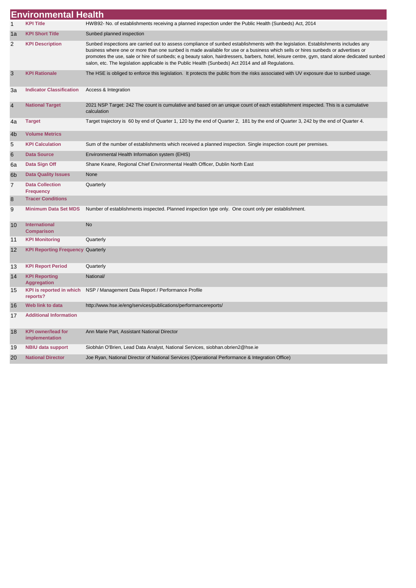|    | <b>Environmental Health</b>                 |                                                                                                                                                                                                                                                                                                                                                                                                                                                                                                                               |
|----|---------------------------------------------|-------------------------------------------------------------------------------------------------------------------------------------------------------------------------------------------------------------------------------------------------------------------------------------------------------------------------------------------------------------------------------------------------------------------------------------------------------------------------------------------------------------------------------|
| 1  | <b>KPI Title</b>                            | HWB92- No. of establishments receiving a planned inspection under the Public Health (Sunbeds) Act, 2014                                                                                                                                                                                                                                                                                                                                                                                                                       |
| 1a | <b>KPI Short Title</b>                      | Sunbed planned inspection                                                                                                                                                                                                                                                                                                                                                                                                                                                                                                     |
| 2  | <b>KPI Description</b>                      | Sunbed inspections are carried out to assess compliance of sunbed establishments with the legislation. Establishments includes any<br>business where one or more than one sunbed is made available for use or a business which sells or hires sunbeds or advertises or<br>promotes the use, sale or hire of sunbeds; e.g beauty salon, hairdressers, barbers, hotel, leisure centre, gym, stand alone dedicated sunbed<br>salon, etc. The legislation applicable is the Public Health (Sunbeds) Act 2014 and all Regulations. |
| 3  | <b>KPI Rationale</b>                        | The HSE is obliged to enforce this legislation. It protects the public from the risks associated with UV exposure due to sunbed usage.                                                                                                                                                                                                                                                                                                                                                                                        |
| За | <b>Indicator Classification</b>             | Access & Integration                                                                                                                                                                                                                                                                                                                                                                                                                                                                                                          |
| 4  | <b>National Target</b>                      | 2021 NSP Target: 242 The count is cumulative and based on an unique count of each establishment inspected. This is a cumulative<br>calculation                                                                                                                                                                                                                                                                                                                                                                                |
| 4a | <b>Target</b>                               | Target trajectory is 60 by end of Quarter 1, 120 by the end of Quarter 2, 181 by the end of Quarter 3, 242 by the end of Quarter 4.                                                                                                                                                                                                                                                                                                                                                                                           |
| 4b | <b>Volume Metrics</b>                       |                                                                                                                                                                                                                                                                                                                                                                                                                                                                                                                               |
| 5  | <b>KPI Calculation</b>                      | Sum of the number of establishments which received a planned inspection. Single inspection count per premises.                                                                                                                                                                                                                                                                                                                                                                                                                |
| 6  | <b>Data Source</b>                          | Environmental Health Information system (EHIS)                                                                                                                                                                                                                                                                                                                                                                                                                                                                                |
| 6a | Data Sign Off                               | Shane Keane, Regional Chief Environmental Health Officer, Dublin North East                                                                                                                                                                                                                                                                                                                                                                                                                                                   |
| 6b | <b>Data Quality Issues</b>                  | None                                                                                                                                                                                                                                                                                                                                                                                                                                                                                                                          |
| 7  | <b>Data Collection</b><br><b>Frequency</b>  | Quarterly                                                                                                                                                                                                                                                                                                                                                                                                                                                                                                                     |
| 8  | <b>Tracer Conditions</b>                    |                                                                                                                                                                                                                                                                                                                                                                                                                                                                                                                               |
| 9  | <b>Minimum Data Set MDS</b>                 | Number of establishments inspected. Planned inspection type only. One count only per establishment.                                                                                                                                                                                                                                                                                                                                                                                                                           |
| 10 | International<br><b>Comparison</b>          | <b>No</b>                                                                                                                                                                                                                                                                                                                                                                                                                                                                                                                     |
| 11 | <b>KPI Monitoring</b>                       | Quarterly                                                                                                                                                                                                                                                                                                                                                                                                                                                                                                                     |
| 12 | <b>KPI Reporting Frequency Quarterly</b>    |                                                                                                                                                                                                                                                                                                                                                                                                                                                                                                                               |
| 13 | <b>KPI Report Period</b>                    | Quarterly                                                                                                                                                                                                                                                                                                                                                                                                                                                                                                                     |
| 14 | <b>KPI Reporting</b><br><b>Aggregation</b>  | National/                                                                                                                                                                                                                                                                                                                                                                                                                                                                                                                     |
| 15 | <b>KPI</b> is reported in which<br>reports? | NSP / Management Data Report / Performance Profile                                                                                                                                                                                                                                                                                                                                                                                                                                                                            |
| 16 | Web link to data                            | http://www.hse.ie/eng/services/publications/performancereports/                                                                                                                                                                                                                                                                                                                                                                                                                                                               |
| 17 | <b>Additional Information</b>               |                                                                                                                                                                                                                                                                                                                                                                                                                                                                                                                               |
| 18 | <b>KPI owner/lead for</b><br>implementation | Ann Marie Part, Assistant National Director                                                                                                                                                                                                                                                                                                                                                                                                                                                                                   |
| 19 | <b>NBIU data support</b>                    | Siobhán O'Brien, Lead Data Analyst, National Services, siobhan.obrien2@hse.ie                                                                                                                                                                                                                                                                                                                                                                                                                                                 |
| 20 | <b>National Director</b>                    | Joe Ryan, National Director of National Services (Operational Performance & Integration Office)                                                                                                                                                                                                                                                                                                                                                                                                                               |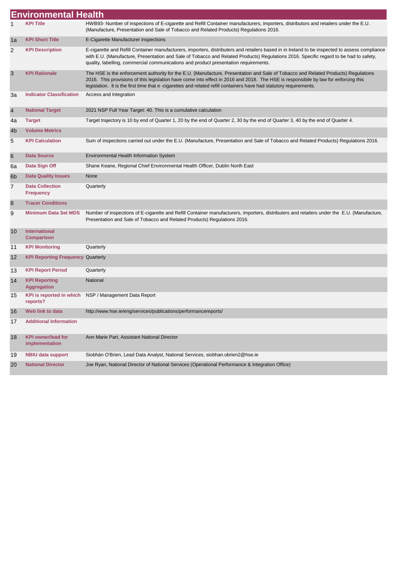|    | <b>Environmental Health</b>                 |                                                                                                                                                                                                                                                                                                                                                                                                 |
|----|---------------------------------------------|-------------------------------------------------------------------------------------------------------------------------------------------------------------------------------------------------------------------------------------------------------------------------------------------------------------------------------------------------------------------------------------------------|
| 1  | <b>KPI Title</b>                            | HWB93- Number of inspections of E-cigarette and Refill Container manufacturers, importers, distributors and retailers under the E.U.<br>(Manufacture, Presentation and Sale of Tobacco and Related Products) Regulations 2016.                                                                                                                                                                  |
| 1a | <b>KPI Short Title</b>                      | E-Cigarette Manufacturer inspections                                                                                                                                                                                                                                                                                                                                                            |
| 2  | <b>KPI Description</b>                      | E-cigarette and Refill Container manufacturers, importers, distributers and retailers based in in Ireland to be inspected to assess compliance<br>with E.U. (Manufacture, Presentation and Sale of Tobacco and Related Products) Regulations 2016. Specific regard to be had to safety,<br>quality, labelling, commercial communications and product presentation requirements.                 |
| 3  | <b>KPI Rationale</b>                        | The HSE is the enforcement authority for the E.U. (Manufacture, Presentation and Sale of Tobacco and Related Products) Regulations<br>2016. This provisions of this legislation have come into effect in 2016 and 2018. The HSE is responsibile by law for enforcing this<br>legislation. It is the first time that e-cigarettes and related refill containers have had statutory requirements. |
| За | <b>Indicator Classification</b>             | Access and Integration                                                                                                                                                                                                                                                                                                                                                                          |
| 4  | <b>National Target</b>                      | 2021 NSP Full Year Target: 40. This is a cumulative calculation                                                                                                                                                                                                                                                                                                                                 |
| 4a | <b>Target</b>                               | Target trajectory is 10 by end of Quarter 1, 20 by the end of Quarter 2, 30 by the end of Quarter 3, 40 by the end of Quarter 4.                                                                                                                                                                                                                                                                |
| 4b | <b>Volume Metrics</b>                       |                                                                                                                                                                                                                                                                                                                                                                                                 |
| 5  | <b>KPI Calculation</b>                      | Sum of inspections carried out under the E.U. (Manufacture, Presentation and Sale of Tobacco and Related Products) Regulations 2016.                                                                                                                                                                                                                                                            |
| 6  | <b>Data Source</b>                          | Environmental Health Information System                                                                                                                                                                                                                                                                                                                                                         |
| 6a | Data Sign Off                               | Shane Keane, Regional Chief Environmental Health Officer, Dublin North East                                                                                                                                                                                                                                                                                                                     |
| 6b | <b>Data Quality Issues</b>                  | None                                                                                                                                                                                                                                                                                                                                                                                            |
| 7  | <b>Data Collection</b><br><b>Frequency</b>  | Quarterly                                                                                                                                                                                                                                                                                                                                                                                       |
| 8  | <b>Tracer Conditions</b>                    |                                                                                                                                                                                                                                                                                                                                                                                                 |
| 9  | <b>Minimum Data Set MDS</b>                 | Number of inspections of E-cigarette and Refill Container manufacturers, importers, distributers and retailers under the E.U. (Manufacture,<br>Presentation and Sale of Tobacco and Related Products) Regulations 2016.                                                                                                                                                                         |
| 10 | International<br><b>Comparison</b>          |                                                                                                                                                                                                                                                                                                                                                                                                 |
| 11 | <b>KPI Monitoring</b>                       | Quarterly                                                                                                                                                                                                                                                                                                                                                                                       |
| 12 | <b>KPI Reporting Frequency Quarterly</b>    |                                                                                                                                                                                                                                                                                                                                                                                                 |
| 13 | <b>KPI Report Period</b>                    | Quarterly                                                                                                                                                                                                                                                                                                                                                                                       |
| 14 | <b>KPI Reporting</b><br><b>Aggregation</b>  | <b>National</b>                                                                                                                                                                                                                                                                                                                                                                                 |
| 15 | <b>KPI</b> is reported in which<br>reports? | NSP / Management Data Report                                                                                                                                                                                                                                                                                                                                                                    |
| 16 | Web link to data                            | http://www.hse.ie/eng/services/publications/performancereports/                                                                                                                                                                                                                                                                                                                                 |
| 17 | <b>Additional Information</b>               |                                                                                                                                                                                                                                                                                                                                                                                                 |
| 18 | <b>KPI owner/lead for</b><br>implementation | Ann Marie Part, Assistant National Director                                                                                                                                                                                                                                                                                                                                                     |
| 19 | <b>NBIU data support</b>                    | Siobhán O'Brien, Lead Data Analyst, National Services, siobhan.obrien2@hse.ie                                                                                                                                                                                                                                                                                                                   |
| 20 | <b>National Director</b>                    | Joe Ryan, National Director of National Services (Operational Performance & Integration Office)                                                                                                                                                                                                                                                                                                 |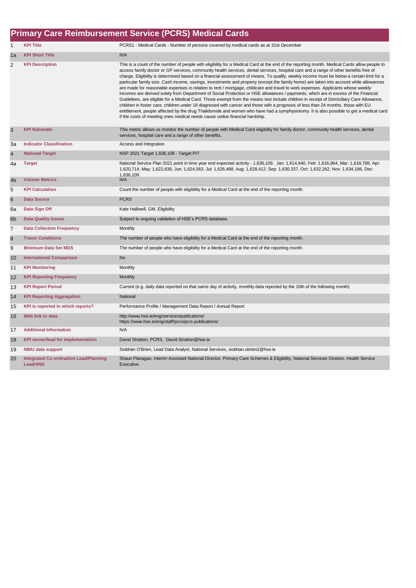#### 1 **KPI Title** PCRS1 - Medical Cards - Number of persons covered by medical cards as at 31st December 1a **KPI Short Title** N/A 2 KPI Description **This is a count of the number of people with eligibility for a Medical Card at the end of the reporting month. Medical Cards allow people to** access family doctor or GP services, community health services, dental services, hospital care and a range of other benefits free of charge. Eligibility is determined based on a financial assessment of means. To qualify, weekly income must be below a certain limit for a particular family size. Cash income, savings, investments and property (except the family home) are taken into account while allowances are made for reasonable expenses in relation to rent / mortgage, childcare and travel to work expenses. Applicants whose weekly incomes are derived solely from Department of Social Protection or HSE allowances / payments, which are in excess of the Financial Guidelines, are eligible for a Medical Card. Those exempt from the means test include children in receipt of Domiciliary Care Allowance, children in foster care, children under 18 diagnosed with cancer and those with a prognosis of less than 24 months, those with EU entitlement, people affected by the drug Thalidomide and women who have had a symphysiotomy. It is also possible to get a medical card if the costs of meeting ones medical needs cause undue financial hardship. 3 **KPI Rationale** This metric allows us monitor the number of people with Medical Card eligibility for family doctor, community health services, dental services, hospital care and a range of other benefits. 3a **Indicator Classification** Access and Integration 4 **National Target** NSP 2021 Target 1,636,109 - Target PIT 4a **Target** National Service Plan 2021 point in time year end expected activity - 1,636,109. Jan: 1,614,940, Feb: 1,616,864, Mar: 1,618,789, Apr: 1,620,714, May: 1,622,638, Jun: 1,624,563, Jul: 1,626,488, Aug: 1,628,412, Sep: 1,630,337, Oct: 1,632,262, Nov: 1,634,186, Dec: 1,636,109<br>N/A **4b Volume Metrics** 5 **KPI Calculation** Count the number of people with eligibility for a Medical Card at the end of the reporting month. 6 **Data Source** PCRS 6a **Data Sign Off** Kate Halliwell, GM, Eligibility 6b **Data Quality Issues** Subject to ongoing validation of HSE's PCRS database. **7** Data Collection Frequency Monthly 8 **Tracer Conditions** The number of people who have eligibility for a Medical Card at the end of the reporting month. 9 **Minimum Data Set MDS** The number of people who have eligibility for a Medical Card at the end of the reporting month. 10 **International Comparison** No 11 **KPI Monitoring Monthly Monthly** 12 **KPI Reporting Frequency** Monthly 13 **KPI Report Period** Current (e.g. daily data reported on that same day of activity, monthly data reported by the 10th of the following month) 14 **KPI Reporting Aggregation** National 15 **KPI is reported in which reports?** Performance Profile / Management Data Report / Annual Report 16 **Web link to data** http://www.hse.ie/eng/services/publications/ https://www.hse.ie/eng/staff/pcrs/pcrs-publications/ 17 **Additional Information** N/A 18 **KPI owner/lead for implementation** David Stratton, PCRS, David.Stratton@hse.ie 19 **NBIU data support** 20 **Integrated Co-ordination Lead/Planning Lead/AND** Shaun Flanagan, Interim Assistant National Director, Primary Care Schemes & Eligibility, National Services Division, Health Service **Executive Primary Care Reimbursement Service (PCRS) Medical Cards** Siobhán O'Brien, Lead Data Analyst, National Services, siobhan.obrien2@hse.ie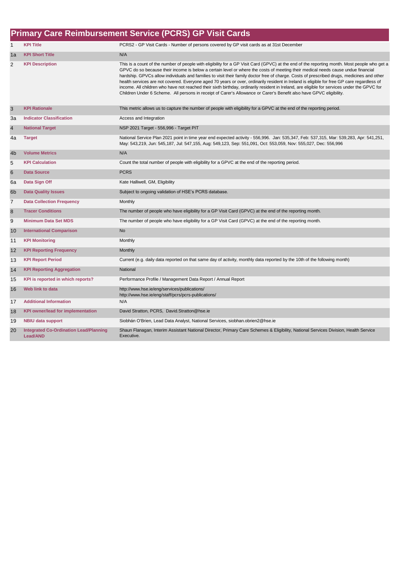|                | <b>Primary Care Reimbursement Service (PCRS) GP Visit Cards</b>  |                                                                                                                                                                                                                                                                                                                                                                                                                                                                                                                                                                                                                                                                                                                                                                                                                                                     |  |  |
|----------------|------------------------------------------------------------------|-----------------------------------------------------------------------------------------------------------------------------------------------------------------------------------------------------------------------------------------------------------------------------------------------------------------------------------------------------------------------------------------------------------------------------------------------------------------------------------------------------------------------------------------------------------------------------------------------------------------------------------------------------------------------------------------------------------------------------------------------------------------------------------------------------------------------------------------------------|--|--|
| 1              | <b>KPI Title</b>                                                 | PCRS2 - GP Visit Cards - Number of persons covered by GP visit cards as at 31st December                                                                                                                                                                                                                                                                                                                                                                                                                                                                                                                                                                                                                                                                                                                                                            |  |  |
| 1a             | <b>KPI Short Title</b>                                           | N/A                                                                                                                                                                                                                                                                                                                                                                                                                                                                                                                                                                                                                                                                                                                                                                                                                                                 |  |  |
| $\overline{2}$ | <b>KPI Description</b>                                           | This is a count of the number of people with eligibility for a GP Visit Card (GPVC) at the end of the reporting month. Most people who get a<br>GPVC do so because their income is below a certain level or where the costs of meeting their medical needs cause undue financial<br>hardship. GPVCs allow individuals and families to visit their family doctor free of charge. Costs of prescribed drugs, medicines and other<br>health services are not covered. Everyone aged 70 years or over, ordinarily resident in Ireland is eligible for free GP care regardless of<br>income. All children who have not reached their sixth birthday, ordinarily resident in Ireland, are eligible for services under the GPVC for<br>Children Under 6 Scheme. All persons in receipt of Carer's Allowance or Carer's Benefit also have GPVC eligibility. |  |  |
| $\mathsf 3$    | <b>KPI Rationale</b>                                             | This metric allows us to capture the number of people with eligibility for a GPVC at the end of the reporting period.                                                                                                                                                                                                                                                                                                                                                                                                                                                                                                                                                                                                                                                                                                                               |  |  |
| 3a             | <b>Indicator Classification</b>                                  | Access and Integration                                                                                                                                                                                                                                                                                                                                                                                                                                                                                                                                                                                                                                                                                                                                                                                                                              |  |  |
| $\overline{4}$ | <b>National Target</b>                                           | NSP 2021 Target - 556,996 - Target PIT                                                                                                                                                                                                                                                                                                                                                                                                                                                                                                                                                                                                                                                                                                                                                                                                              |  |  |
| 4a             | <b>Target</b>                                                    | National Service Plan 2021 point in time year end expected activity - 556,996. Jan: 535,347, Feb: 537,315, Mar: 539,283, Apr: 541,251,<br>May: 543,219, Jun: 545,187, Jul: 547,155, Aug: 549,123, Sep: 551,091, Oct: 553,059, Nov: 555,027, Dec: 556,996                                                                                                                                                                                                                                                                                                                                                                                                                                                                                                                                                                                            |  |  |
| 4 <sub>b</sub> | <b>Volume Metrics</b>                                            | N/A                                                                                                                                                                                                                                                                                                                                                                                                                                                                                                                                                                                                                                                                                                                                                                                                                                                 |  |  |
| 5              | <b>KPI Calculation</b>                                           | Count the total number of people with eligibility for a GPVC at the end of the reporting period.                                                                                                                                                                                                                                                                                                                                                                                                                                                                                                                                                                                                                                                                                                                                                    |  |  |
| $\,6$          | <b>Data Source</b>                                               | <b>PCRS</b>                                                                                                                                                                                                                                                                                                                                                                                                                                                                                                                                                                                                                                                                                                                                                                                                                                         |  |  |
| 6a             | Data Sign Off                                                    | Kate Halliwell, GM, Eligibility                                                                                                                                                                                                                                                                                                                                                                                                                                                                                                                                                                                                                                                                                                                                                                                                                     |  |  |
| 6 <sub>b</sub> | <b>Data Quality Issues</b>                                       | Subject to ongoing validation of HSE's PCRS database.                                                                                                                                                                                                                                                                                                                                                                                                                                                                                                                                                                                                                                                                                                                                                                                               |  |  |
| $\overline{7}$ | <b>Data Collection Frequency</b>                                 | Monthly                                                                                                                                                                                                                                                                                                                                                                                                                                                                                                                                                                                                                                                                                                                                                                                                                                             |  |  |
| $\bf 8$        | <b>Tracer Conditions</b>                                         | The number of people who have eligibility for a GP Visit Card (GPVC) at the end of the reporting month.                                                                                                                                                                                                                                                                                                                                                                                                                                                                                                                                                                                                                                                                                                                                             |  |  |
| 9              | <b>Minimum Data Set MDS</b>                                      | The number of people who have eligibility for a GP Visit Card (GPVC) at the end of the reporting month.                                                                                                                                                                                                                                                                                                                                                                                                                                                                                                                                                                                                                                                                                                                                             |  |  |
| 10             | <b>International Comparison</b>                                  | <b>No</b>                                                                                                                                                                                                                                                                                                                                                                                                                                                                                                                                                                                                                                                                                                                                                                                                                                           |  |  |
| 11             | <b>KPI Monitoring</b>                                            | Monthly                                                                                                                                                                                                                                                                                                                                                                                                                                                                                                                                                                                                                                                                                                                                                                                                                                             |  |  |
| 12             | <b>KPI Reporting Frequency</b>                                   | Monthly                                                                                                                                                                                                                                                                                                                                                                                                                                                                                                                                                                                                                                                                                                                                                                                                                                             |  |  |
| 13             | <b>KPI Report Period</b>                                         | Current (e.g. daily data reported on that same day of activity, monthly data reported by the 10th of the following month)                                                                                                                                                                                                                                                                                                                                                                                                                                                                                                                                                                                                                                                                                                                           |  |  |
| 14             | <b>KPI Reporting Aggregation</b>                                 | National                                                                                                                                                                                                                                                                                                                                                                                                                                                                                                                                                                                                                                                                                                                                                                                                                                            |  |  |
| 15             | KPI is reported in which reports?                                | Performance Profile / Management Data Report / Annual Report                                                                                                                                                                                                                                                                                                                                                                                                                                                                                                                                                                                                                                                                                                                                                                                        |  |  |
| 16             | Web link to data                                                 | http://www.hse.ie/eng/services/publications/<br>http://www.hse.ie/eng/staff/pcrs/pcrs-publications/                                                                                                                                                                                                                                                                                                                                                                                                                                                                                                                                                                                                                                                                                                                                                 |  |  |
| 17             | <b>Additional Information</b>                                    | N/A                                                                                                                                                                                                                                                                                                                                                                                                                                                                                                                                                                                                                                                                                                                                                                                                                                                 |  |  |
| 18             | <b>KPI owner/lead for implementation</b>                         | David Stratton, PCRS, David.Stratton@hse.ie                                                                                                                                                                                                                                                                                                                                                                                                                                                                                                                                                                                                                                                                                                                                                                                                         |  |  |
| 19             | <b>NBIU data support</b>                                         | Siobhán O'Brien, Lead Data Analyst, National Services, siobhan.obrien2@hse.ie                                                                                                                                                                                                                                                                                                                                                                                                                                                                                                                                                                                                                                                                                                                                                                       |  |  |
| 20             | <b>Integrated Co-Ordination Lead/Planning</b><br><b>Lead/AND</b> | Shaun Flanagan, Interim Assistant National Director, Primary Care Schemes & Eligibility, National Services Division, Health Service<br>Executive.                                                                                                                                                                                                                                                                                                                                                                                                                                                                                                                                                                                                                                                                                                   |  |  |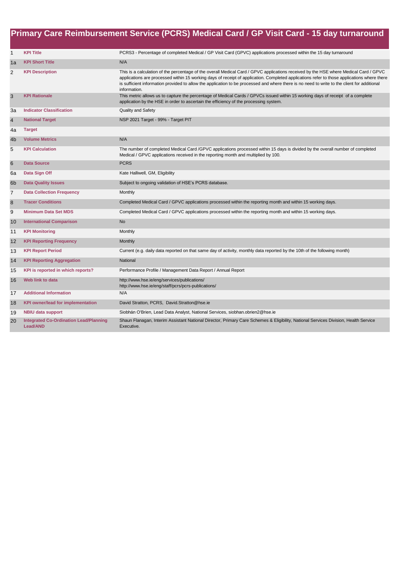|                |                                                           | Primary Care Reimbursement Service (PCRS) Medical Card / GP Visit Card - 15 day turnaround                                                                                                                                                                                                                                                                                                                                                           |
|----------------|-----------------------------------------------------------|------------------------------------------------------------------------------------------------------------------------------------------------------------------------------------------------------------------------------------------------------------------------------------------------------------------------------------------------------------------------------------------------------------------------------------------------------|
| $\mathbf{1}$   | <b>KPI Title</b>                                          | PCRS3 - Percentage of completed Medical / GP Visit Card (GPVC) applications processed within the 15 day turnaround                                                                                                                                                                                                                                                                                                                                   |
| 1a             | <b>KPI Short Title</b>                                    | N/A                                                                                                                                                                                                                                                                                                                                                                                                                                                  |
| 2              | <b>KPI Description</b>                                    | This is a calculation of the percentage of the overall Medical Card / GPVC applications received by the HSE where Medical Card / GPVC<br>applications are processed within 15 working days of receipt of application. Completed applications refer to those applications where there<br>is sufficient information provided to allow the application to be processed and where there is no need to write to the client for additional<br>information. |
| 3              | <b>KPI Rationale</b>                                      | This metric allows us to capture the percentage of Medical Cards / GPVCs issued within 15 working days of receipt of a complete<br>application by the HSE in order to ascertain the efficiency of the processing system.                                                                                                                                                                                                                             |
| Зa             | <b>Indicator Classification</b>                           | <b>Quality and Safety</b>                                                                                                                                                                                                                                                                                                                                                                                                                            |
| $\overline{4}$ | <b>National Target</b>                                    | NSP 2021 Target - 99% - Target PIT                                                                                                                                                                                                                                                                                                                                                                                                                   |
| 4a             | <b>Target</b>                                             |                                                                                                                                                                                                                                                                                                                                                                                                                                                      |
| 4b             | <b>Volume Metrics</b>                                     | N/A                                                                                                                                                                                                                                                                                                                                                                                                                                                  |
| 5              | <b>KPI Calculation</b>                                    | The number of completed Medical Card /GPVC applications processed within 15 days is divided by the overall number of completed<br>Medical / GPVC applications received in the reporting month and multiplied by 100.                                                                                                                                                                                                                                 |
| $\,6$          | <b>Data Source</b>                                        | <b>PCRS</b>                                                                                                                                                                                                                                                                                                                                                                                                                                          |
| 6a             | Data Sign Off                                             | Kate Halliwell, GM, Eligibility                                                                                                                                                                                                                                                                                                                                                                                                                      |
| 6 <sub>b</sub> | <b>Data Quality Issues</b>                                | Subject to ongoing validation of HSE's PCRS database.                                                                                                                                                                                                                                                                                                                                                                                                |
| $\overline{7}$ | <b>Data Collection Frequency</b>                          | Monthly                                                                                                                                                                                                                                                                                                                                                                                                                                              |
| $\bf 8$        | <b>Tracer Conditions</b>                                  | Completed Medical Card / GPVC applications processed within the reporting month and within 15 working days.                                                                                                                                                                                                                                                                                                                                          |
| 9              | <b>Minimum Data Set MDS</b>                               | Completed Medical Card / GPVC applications processed within the reporting month and within 15 working days.                                                                                                                                                                                                                                                                                                                                          |
| 10             | <b>International Comparison</b>                           | <b>No</b>                                                                                                                                                                                                                                                                                                                                                                                                                                            |
| 11             | <b>KPI Monitoring</b>                                     | Monthly                                                                                                                                                                                                                                                                                                                                                                                                                                              |
| 12             | <b>KPI Reporting Frequency</b>                            | Monthly                                                                                                                                                                                                                                                                                                                                                                                                                                              |
| 13             | <b>KPI Report Period</b>                                  | Current (e.g. daily data reported on that same day of activity, monthly data reported by the 10th of the following month)                                                                                                                                                                                                                                                                                                                            |
| 14             | <b>KPI Reporting Aggregation</b>                          | National                                                                                                                                                                                                                                                                                                                                                                                                                                             |
| 15             | KPI is reported in which reports?                         | Performance Profile / Management Data Report / Annual Report                                                                                                                                                                                                                                                                                                                                                                                         |
| 16             | Web link to data                                          | http://www.hse.ie/eng/services/publications/<br>http://www.hse.ie/eng/staff/pcrs/pcrs-publications/                                                                                                                                                                                                                                                                                                                                                  |
| 17             | <b>Additional Information</b>                             | N/A                                                                                                                                                                                                                                                                                                                                                                                                                                                  |
| 18             | KPI owner/lead for implementation                         | David Stratton, PCRS, David.Stratton@hse.ie                                                                                                                                                                                                                                                                                                                                                                                                          |
| 19             | <b>NBIU data support</b>                                  | Siobhán O'Brien, Lead Data Analyst, National Services, siobhan.obrien2@hse.ie                                                                                                                                                                                                                                                                                                                                                                        |
| 20             | <b>Integrated Co-Ordination Lead/Planning</b><br>Lead/AND | Shaun Flanagan, Interim Assistant National Director, Primary Care Schemes & Eligibility, National Services Division, Health Service<br>Executive.                                                                                                                                                                                                                                                                                                    |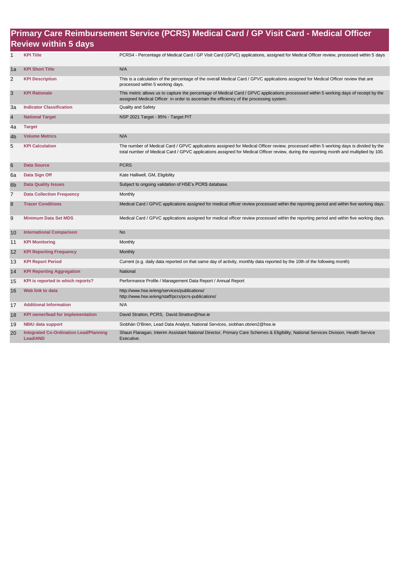#### **Primary Care Reimbursement Service (PCRS) Medical Card / GP Visit Card - Medical Officer Review within 5 days**

| $\mathbf{1}$    | <b>KPI Title</b>                                                 | PCRS4 - Percentage of Medical Card / GP Visit Card (GPVC) applications, assigned for Medical Officer review, processed within 5 days                                                                                                                                             |
|-----------------|------------------------------------------------------------------|----------------------------------------------------------------------------------------------------------------------------------------------------------------------------------------------------------------------------------------------------------------------------------|
| 1a              | <b>KPI Short Title</b>                                           | N/A                                                                                                                                                                                                                                                                              |
| 2               | <b>KPI Description</b>                                           | This is a calculation of the percentage of the overall Medical Card / GPVC applications assigned for Medical Officer review that are<br>processed within 5 working days.                                                                                                         |
| 3               | <b>KPI Rationale</b>                                             | This metric allows us to capture the percentage of Medical Card / GPVC applications processsed within 5 working days of receipt by the<br>assigned Medical Officer in order to ascertain the efficiency of the processing system.                                                |
| Зa              | <b>Indicator Classification</b>                                  | Quality and Safety                                                                                                                                                                                                                                                               |
| $\overline{4}$  | <b>National Target</b>                                           | NSP 2021 Target - 95% - Target PIT                                                                                                                                                                                                                                               |
| 4a              | <b>Target</b>                                                    |                                                                                                                                                                                                                                                                                  |
| 4 <sub>b</sub>  | <b>Volume Metrics</b>                                            | N/A                                                                                                                                                                                                                                                                              |
| 5               | <b>KPI Calculation</b>                                           | The number of Medical Card / GPVC applications assigned for Medical Officer review, processed within 5 working days is divided by the<br>total number of Medical Card / GPVC applications assigned for Medical Officer review, during the reporting month and multiplied by 100. |
| $6\phantom{1}6$ | <b>Data Source</b>                                               | <b>PCRS</b>                                                                                                                                                                                                                                                                      |
| 6a              | Data Sign Off                                                    | Kate Halliwell, GM, Eligibility                                                                                                                                                                                                                                                  |
| 6 <sub>b</sub>  | <b>Data Quality Issues</b>                                       | Subject to ongoing validation of HSE's PCRS database.                                                                                                                                                                                                                            |
| $\overline{7}$  | <b>Data Collection Frequency</b>                                 | Monthly                                                                                                                                                                                                                                                                          |
| 8               | <b>Tracer Conditions</b>                                         | Medical Card / GPVC applications assigned for medical officer review processed within the reporting period and within five working days.                                                                                                                                         |
| 9               | <b>Minimum Data Set MDS</b>                                      | Medical Card / GPVC applications assigned for medical officer review processed within the reporting period and within five working days.                                                                                                                                         |
| 10              | <b>International Comparison</b>                                  | <b>No</b>                                                                                                                                                                                                                                                                        |
| 11              | <b>KPI Monitoring</b>                                            | Monthly                                                                                                                                                                                                                                                                          |
| 12              | <b>KPI Reporting Frequency</b>                                   | Monthly                                                                                                                                                                                                                                                                          |
| 13              | <b>KPI Report Period</b>                                         | Current (e.g. daily data reported on that same day of activity, monthly data reported by the 10th of the following month)                                                                                                                                                        |
| 14              | <b>KPI Reporting Aggregation</b>                                 | National                                                                                                                                                                                                                                                                         |
| 15              | KPI is reported in which reports?                                | Performance Profile / Management Data Report / Annual Report                                                                                                                                                                                                                     |
| 16              | Web link to data                                                 | http://www.hse.ie/eng/services/publications/<br>http://www.hse.ie/eng/staff/pcrs/pcrs-publications/                                                                                                                                                                              |
| 17              | <b>Additional Information</b>                                    | N/A                                                                                                                                                                                                                                                                              |
| 18              | <b>KPI owner/lead for implementation</b>                         | David Stratton, PCRS, David.Stratton@hse.ie                                                                                                                                                                                                                                      |
| 19              | <b>NBIU data support</b>                                         | Siobhán O'Brien, Lead Data Analyst, National Services, siobhan.obrien2@hse.ie                                                                                                                                                                                                    |
| 20              | <b>Integrated Co-Ordination Lead/Planning</b><br><b>Lead/AND</b> | Shaun Flanagan, Interim Assistant National Director, Primary Care Schemes & Eligibility, National Services Division, Health Service<br>Executive.                                                                                                                                |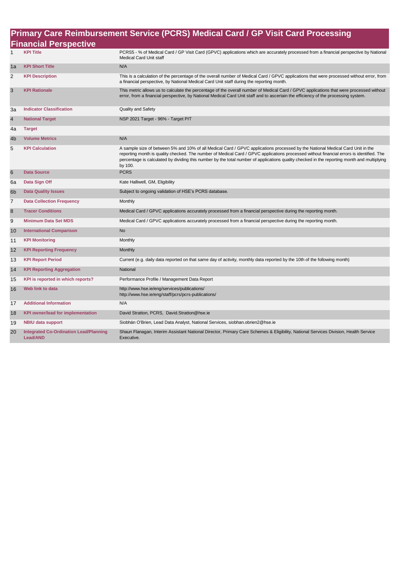### **Primary Care Reimbursement Service (PCRS) Medical Card / GP Visit Card Processing**

|                | <b>Financial Perspective</b>                                     |                                                                                                                                                                                                                                                                                                                                                                                                                                      |
|----------------|------------------------------------------------------------------|--------------------------------------------------------------------------------------------------------------------------------------------------------------------------------------------------------------------------------------------------------------------------------------------------------------------------------------------------------------------------------------------------------------------------------------|
| 1              | <b>KPI Title</b>                                                 | PCRS5 - % of Medical Card / GP Visit Card (GPVC) applications which are accurately processed from a financial perspective by National<br>Medical Card Unit staff                                                                                                                                                                                                                                                                     |
| 1a             | <b>KPI Short Title</b>                                           | N/A                                                                                                                                                                                                                                                                                                                                                                                                                                  |
| $\overline{2}$ | <b>KPI Description</b>                                           | This is a calculation of the percentage of the overall number of Medical Card / GPVC applications that were processed without error, from<br>a financial perspective, by National Medical Card Unit staff during the reporting month.                                                                                                                                                                                                |
| 3              | <b>KPI Rationale</b>                                             | This metric allows us to calculate the percentage of the overall number of Medical Card / GPVC applications that were processed without<br>error, from a financial perspective, by National Medical Card Unit staff and to ascertain the efficiency of the processing system.                                                                                                                                                        |
| За             | <b>Indicator Classification</b>                                  | <b>Quality and Safety</b>                                                                                                                                                                                                                                                                                                                                                                                                            |
| $\overline{4}$ | <b>National Target</b>                                           | NSP 2021 Target - 96% - Target PIT                                                                                                                                                                                                                                                                                                                                                                                                   |
| 4a             | <b>Target</b>                                                    |                                                                                                                                                                                                                                                                                                                                                                                                                                      |
| 4 <sub>b</sub> | <b>Volume Metrics</b>                                            | N/A                                                                                                                                                                                                                                                                                                                                                                                                                                  |
| 5              | <b>KPI Calculation</b>                                           | A sample size of between 5% and 10% of all Medical Card / GPVC applications processed by the National Medical Card Unit in the<br>reporting month is quality checked. The number of Medical Card / GPVC applications processed without financial errors is identified. The<br>percentage is calculated by dividing this number by the total number of applications quality checked in the reporting month and multiplying<br>by 100. |
| 6              | <b>Data Source</b>                                               | <b>PCRS</b>                                                                                                                                                                                                                                                                                                                                                                                                                          |
| 6a             | Data Sign Off                                                    | Kate Halliwell, GM, Eligibility                                                                                                                                                                                                                                                                                                                                                                                                      |
| 6 <sub>b</sub> | <b>Data Quality Issues</b>                                       | Subject to ongoing validation of HSE's PCRS database.                                                                                                                                                                                                                                                                                                                                                                                |
| $\overline{7}$ | <b>Data Collection Frequency</b>                                 | Monthly                                                                                                                                                                                                                                                                                                                                                                                                                              |
| 8              | <b>Tracer Conditions</b>                                         | Medical Card / GPVC applications accurately processed from a financial perspective during the reporting month.                                                                                                                                                                                                                                                                                                                       |
| 9              | <b>Minimum Data Set MDS</b>                                      | Medical Card / GPVC applications accurately processed from a financial perspective during the reporting month.                                                                                                                                                                                                                                                                                                                       |
| 10             | <b>International Comparison</b>                                  | <b>No</b>                                                                                                                                                                                                                                                                                                                                                                                                                            |
| 11             | <b>KPI Monitoring</b>                                            | Monthly                                                                                                                                                                                                                                                                                                                                                                                                                              |
| 12             | <b>KPI Reporting Frequency</b>                                   | Monthly                                                                                                                                                                                                                                                                                                                                                                                                                              |
| 13             | <b>KPI Report Period</b>                                         | Current (e.g. daily data reported on that same day of activity, monthly data reported by the 10th of the following month)                                                                                                                                                                                                                                                                                                            |
| 14             | <b>KPI Reporting Aggregation</b>                                 | National                                                                                                                                                                                                                                                                                                                                                                                                                             |
| 15             | KPI is reported in which reports?                                | Performance Profile / Management Data Report                                                                                                                                                                                                                                                                                                                                                                                         |
| 16             | Web link to data                                                 | http://www.hse.ie/eng/services/publications/<br>http://www.hse.ie/eng/staff/pcrs/pcrs-publications/                                                                                                                                                                                                                                                                                                                                  |
| 17             | <b>Additional Information</b>                                    | N/A                                                                                                                                                                                                                                                                                                                                                                                                                                  |
| 18             | <b>KPI owner/lead for implementation</b>                         | David Stratton, PCRS, David.Stratton@hse.ie                                                                                                                                                                                                                                                                                                                                                                                          |
| 19             | <b>NBIU data support</b>                                         | Siobhán O'Brien, Lead Data Analyst, National Services, siobhan.obrien2@hse.ie                                                                                                                                                                                                                                                                                                                                                        |
| 20             | <b>Integrated Co-Ordination Lead/Planning</b><br><b>Lead/AND</b> | Shaun Flanagan, Interim Assistant National Director, Primary Care Schemes & Eligibility, National Services Division, Health Service<br>Executive.                                                                                                                                                                                                                                                                                    |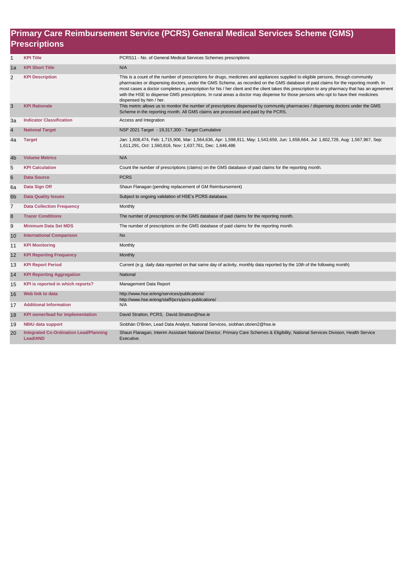#### **Primary Care Reimbursement Service (PCRS) General Medical Services Scheme (GMS) Prescriptions**

| $\mathbf{1}$   | <b>KPI Title</b>                                          | PCRS11 - No. of General Medical Services Schemes prescriptions                                                                                                                                                                                                                                                                                                                                                                                                                                                                                                                              |
|----------------|-----------------------------------------------------------|---------------------------------------------------------------------------------------------------------------------------------------------------------------------------------------------------------------------------------------------------------------------------------------------------------------------------------------------------------------------------------------------------------------------------------------------------------------------------------------------------------------------------------------------------------------------------------------------|
| 1a             | <b>KPI Short Title</b>                                    | N/A                                                                                                                                                                                                                                                                                                                                                                                                                                                                                                                                                                                         |
| $\overline{2}$ | <b>KPI Description</b>                                    | This is a count of the number of prescriptions for drugs, medicines and appliances supplied to eligible persons, through community<br>pharmacies or dispensing doctors, under the GMS Scheme, as recorded on the GMS database of paid claims for the reporting month. In<br>most cases a doctor completes a prescription for his / her client and the client takes this prescription to any pharmacy that has an agreement<br>with the HSE to dispense GMS prescriptions. In rural areas a doctor may dispense for those persons who opt to have their medicines<br>dispensed by him / her. |
| 3              | <b>KPI Rationale</b>                                      | This metric allows us to monitor the number of prescriptions dispensed by community pharmacies / dispensing doctors under the GMS<br>Scheme in the reporting month. All GMS claims are processed and paid by the PCRS.                                                                                                                                                                                                                                                                                                                                                                      |
| За             | <b>Indicator Classification</b>                           | Access and Integration                                                                                                                                                                                                                                                                                                                                                                                                                                                                                                                                                                      |
| 4              | <b>National Target</b>                                    | NSP 2021 Target - 19,317,300 - Target Cumulative                                                                                                                                                                                                                                                                                                                                                                                                                                                                                                                                            |
| 4a             | <b>Target</b>                                             | Jan: 1,608,474, Feb: 1,715,906, Mar: 1,564,636, Apr: 1,598,911, May: 1,543,659, Jun: 1,658,664, Jul: 1,602,729, Aug: 1,567,967, Sep:<br>1,611,291, Oct: 1,560,816, Nov: 1,637,761, Dec: 1,646,486                                                                                                                                                                                                                                                                                                                                                                                           |
| 4b             | <b>Volume Metrics</b>                                     | N/A                                                                                                                                                                                                                                                                                                                                                                                                                                                                                                                                                                                         |
| 5              | <b>KPI Calculation</b>                                    | Count the number of prescriptions (claims) on the GMS database of paid claims for the reporting month.                                                                                                                                                                                                                                                                                                                                                                                                                                                                                      |
| 6              | <b>Data Source</b>                                        | <b>PCRS</b>                                                                                                                                                                                                                                                                                                                                                                                                                                                                                                                                                                                 |
| 6a             | Data Sign Off                                             | Shaun Flanagan (pending replacement of GM Reimbursement)                                                                                                                                                                                                                                                                                                                                                                                                                                                                                                                                    |
| 6 <sub>b</sub> | <b>Data Quality Issues</b>                                | Subject to ongoing validation of HSE's PCRS database.                                                                                                                                                                                                                                                                                                                                                                                                                                                                                                                                       |
| $\overline{7}$ | <b>Data Collection Frequency</b>                          | Monthly                                                                                                                                                                                                                                                                                                                                                                                                                                                                                                                                                                                     |
| 8              | <b>Tracer Conditions</b>                                  | The number of prescriptions on the GMS database of paid claims for the reporting month.                                                                                                                                                                                                                                                                                                                                                                                                                                                                                                     |
| 9              | <b>Minimum Data Set MDS</b>                               | The number of prescriptions on the GMS database of paid claims for the reporting month.                                                                                                                                                                                                                                                                                                                                                                                                                                                                                                     |
| 10             | <b>International Comparison</b>                           | <b>No</b>                                                                                                                                                                                                                                                                                                                                                                                                                                                                                                                                                                                   |
| 11             | <b>KPI Monitoring</b>                                     | Monthly                                                                                                                                                                                                                                                                                                                                                                                                                                                                                                                                                                                     |
| 12             | <b>KPI Reporting Frequency</b>                            | Monthly                                                                                                                                                                                                                                                                                                                                                                                                                                                                                                                                                                                     |
| 13             | <b>KPI Report Period</b>                                  | Current (e.g. daily data reported on that same day of activity, monthly data reported by the 10th of the following month)                                                                                                                                                                                                                                                                                                                                                                                                                                                                   |
| 14             | <b>KPI Reporting Aggregation</b>                          | National                                                                                                                                                                                                                                                                                                                                                                                                                                                                                                                                                                                    |
| 15             | KPI is reported in which reports?                         | Management Data Report                                                                                                                                                                                                                                                                                                                                                                                                                                                                                                                                                                      |
| 16             | Web link to data                                          | http://www.hse.ie/eng/services/publications/<br>http://www.hse.ie/eng/staff/pcrs/pcrs-publications/                                                                                                                                                                                                                                                                                                                                                                                                                                                                                         |
| 17             | <b>Additional Information</b>                             | N/A                                                                                                                                                                                                                                                                                                                                                                                                                                                                                                                                                                                         |
| 18             | <b>KPI owner/lead for implementation</b>                  | David Stratton, PCRS, David.Stratton@hse.ie                                                                                                                                                                                                                                                                                                                                                                                                                                                                                                                                                 |
| 19             | <b>NBIU data support</b>                                  | Siobhán O'Brien, Lead Data Analyst, National Services, siobhan.obrien2@hse.ie                                                                                                                                                                                                                                                                                                                                                                                                                                                                                                               |
| 20             | <b>Integrated Co-Ordination Lead/Planning</b><br>Lead/AND | Shaun Flanagan, Interim Assistant National Director, Primary Care Schemes & Eligibility, National Services Division, Health Service<br>Executive.                                                                                                                                                                                                                                                                                                                                                                                                                                           |
|                |                                                           |                                                                                                                                                                                                                                                                                                                                                                                                                                                                                                                                                                                             |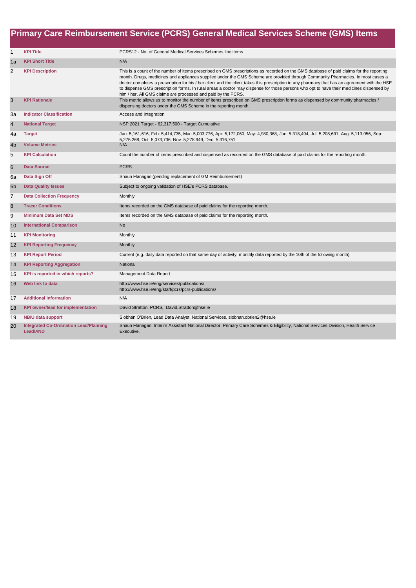|                |                                                                  | Primary Care Reimbursement Service (PCRS) General Medical Services Scheme (GMS) Items                                                                                                                                                                                                                                                                                                                                                                                                                                                                                                                                                    |
|----------------|------------------------------------------------------------------|------------------------------------------------------------------------------------------------------------------------------------------------------------------------------------------------------------------------------------------------------------------------------------------------------------------------------------------------------------------------------------------------------------------------------------------------------------------------------------------------------------------------------------------------------------------------------------------------------------------------------------------|
| $\mathbf{1}$   | <b>KPI Title</b>                                                 | PCRS12 - No. of General Medical Services Schemes line items                                                                                                                                                                                                                                                                                                                                                                                                                                                                                                                                                                              |
| 1a             | <b>KPI Short Title</b>                                           | N/A                                                                                                                                                                                                                                                                                                                                                                                                                                                                                                                                                                                                                                      |
| 2              | <b>KPI Description</b>                                           | This is a count of the number of items prescribed on GMS prescriptions as recorded on the GMS database of paid claims for the reporting<br>month. Drugs, medicines and appliances supplied under the GMS Scheme are provided through Community Pharmacies. In most cases a<br>doctor completes a prescription for his / her client and the client takes this prescription to any pharmacy that has an agreement with the HSE<br>to dispense GMS prescription forms. In rural areas a doctor may dispense for those persons who opt to have their medicines dispensed by<br>him / her. All GMS claims are processed and paid by the PCRS. |
| 3              | <b>KPI Rationale</b>                                             | This metric allows us to monitor the number of items prescribed on GMS prescription forms as dispensed by community pharmacies /<br>dispensing doctors under the GMS Scheme in the reporting month.                                                                                                                                                                                                                                                                                                                                                                                                                                      |
| 3a             | <b>Indicator Classification</b>                                  | Access and Integration                                                                                                                                                                                                                                                                                                                                                                                                                                                                                                                                                                                                                   |
| $\overline{4}$ | <b>National Target</b>                                           | NSP 2021 Target - 62,317,500 - Target Cumulative                                                                                                                                                                                                                                                                                                                                                                                                                                                                                                                                                                                         |
| 4a             | <b>Target</b>                                                    | Jan: 5,161,616, Feb: 5,414,735, Mar: 5,003,776, Apr: 5,172,060, May: 4,980,368, Jun: 5,318,494, Jul: 5,208,691, Aug: 5,113,056, Sep:<br>5,275,268, Oct: 5,073,736, Nov: 5,278,949, Dec: 5,316,751                                                                                                                                                                                                                                                                                                                                                                                                                                        |
| 4b             | <b>Volume Metrics</b>                                            | N/A                                                                                                                                                                                                                                                                                                                                                                                                                                                                                                                                                                                                                                      |
| 5              | <b>KPI Calculation</b>                                           | Count the number of items prescribed and dispensed as recorded on the GMS database of paid claims for the reporting month.                                                                                                                                                                                                                                                                                                                                                                                                                                                                                                               |
| $6\phantom{1}$ | <b>Data Source</b>                                               | <b>PCRS</b>                                                                                                                                                                                                                                                                                                                                                                                                                                                                                                                                                                                                                              |
| 6a             | Data Sign Off                                                    | Shaun Flanagan (pending replacement of GM Reimbursement)                                                                                                                                                                                                                                                                                                                                                                                                                                                                                                                                                                                 |
| 6 <sub>b</sub> | <b>Data Quality Issues</b>                                       | Subject to ongoing validation of HSE's PCRS database.                                                                                                                                                                                                                                                                                                                                                                                                                                                                                                                                                                                    |
| $\overline{7}$ | <b>Data Collection Frequency</b>                                 | Monthly                                                                                                                                                                                                                                                                                                                                                                                                                                                                                                                                                                                                                                  |
| 8              | <b>Tracer Conditions</b>                                         | Items recorded on the GMS database of paid claims for the reporting month.                                                                                                                                                                                                                                                                                                                                                                                                                                                                                                                                                               |
| 9              | <b>Minimum Data Set MDS</b>                                      | Items recorded on the GMS database of paid claims for the reporting month.                                                                                                                                                                                                                                                                                                                                                                                                                                                                                                                                                               |
| 10             | <b>International Comparison</b>                                  | <b>No</b>                                                                                                                                                                                                                                                                                                                                                                                                                                                                                                                                                                                                                                |
| 11             | <b>KPI Monitoring</b>                                            | Monthly                                                                                                                                                                                                                                                                                                                                                                                                                                                                                                                                                                                                                                  |
| 12             | <b>KPI Reporting Frequency</b>                                   | Monthly                                                                                                                                                                                                                                                                                                                                                                                                                                                                                                                                                                                                                                  |
| 13             | <b>KPI Report Period</b>                                         | Current (e.g. daily data reported on that same day of activity, monthly data reported by the 10th of the following month)                                                                                                                                                                                                                                                                                                                                                                                                                                                                                                                |
| 14             | <b>KPI Reporting Aggregation</b>                                 | National                                                                                                                                                                                                                                                                                                                                                                                                                                                                                                                                                                                                                                 |
| 15             | KPI is reported in which reports?                                | Management Data Report                                                                                                                                                                                                                                                                                                                                                                                                                                                                                                                                                                                                                   |
| 16             | Web link to data                                                 | http://www.hse.ie/eng/services/publications/<br>http://www.hse.ie/eng/staff/pcrs/pcrs-publications/                                                                                                                                                                                                                                                                                                                                                                                                                                                                                                                                      |
| 17             | <b>Additional Information</b>                                    | N/A                                                                                                                                                                                                                                                                                                                                                                                                                                                                                                                                                                                                                                      |
| 18             | <b>KPI owner/lead for implementation</b>                         | David Stratton, PCRS, David.Stratton@hse.ie                                                                                                                                                                                                                                                                                                                                                                                                                                                                                                                                                                                              |
| 19             | <b>NBIU data support</b>                                         | Siobhán O'Brien, Lead Data Analyst, National Services, siobhan.obrien2@hse.ie                                                                                                                                                                                                                                                                                                                                                                                                                                                                                                                                                            |
| 20             | <b>Integrated Co-Ordination Lead/Planning</b><br><b>Lead/AND</b> | Shaun Flanagan, Interim Assistant National Director, Primary Care Schemes & Eligibility, National Services Division, Health Service<br>Executive.                                                                                                                                                                                                                                                                                                                                                                                                                                                                                        |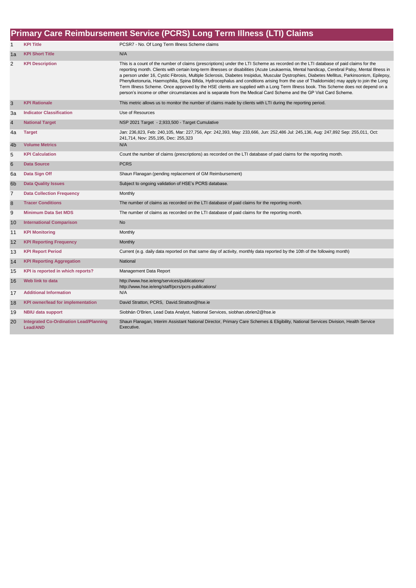### **Primary Care Reimbursement Service (PCRS) Long Term Illness (LTI) Claims**

| $\mathbf{1}$   | <b>KPI Title</b>                                                 | PCSR7 - No. Of Long Term Illness Scheme claims                                                                                                                                                                                                                                                                                                                                                                                                                                                                                                                                                                                                                                                                                                                                                                                               |
|----------------|------------------------------------------------------------------|----------------------------------------------------------------------------------------------------------------------------------------------------------------------------------------------------------------------------------------------------------------------------------------------------------------------------------------------------------------------------------------------------------------------------------------------------------------------------------------------------------------------------------------------------------------------------------------------------------------------------------------------------------------------------------------------------------------------------------------------------------------------------------------------------------------------------------------------|
| 1a             | <b>KPI Short Title</b>                                           | N/A                                                                                                                                                                                                                                                                                                                                                                                                                                                                                                                                                                                                                                                                                                                                                                                                                                          |
| 2              | <b>KPI Description</b>                                           | This is a count of the number of claims (prescriptions) under the LTI Scheme as recorded on the LTI database of paid claims for the<br>reporting month. Clients with certain long-term illnesses or disabilities (Acute Leukaemia, Mental handicap, Cerebral Palsy, Mental Illness in<br>a person under 16, Cystic Fibrosis, Multiple Sclerosis, Diabetes Insipidus, Muscular Dystrophies, Diabetes Mellitus, Parkinsonism, Epilepsy,<br>Phenylketonuria, Haemophilia, Spina Bifida, Hydrocephalus and conditions arising from the use of Thalidomide) may apply to join the Long<br>Term Illness Scheme. Once approved by the HSE clients are supplied with a Long Term Illness book. This Scheme does not depend on a<br>person's income or other circumstances and is separate from the Medical Card Scheme and the GP Visit Card Scheme. |
| 3              | <b>KPI Rationale</b>                                             | This metric allows us to monitor the number of claims made by clients with LTI during the reporting period.                                                                                                                                                                                                                                                                                                                                                                                                                                                                                                                                                                                                                                                                                                                                  |
| 3a             | <b>Indicator Classification</b>                                  | Use of Resources                                                                                                                                                                                                                                                                                                                                                                                                                                                                                                                                                                                                                                                                                                                                                                                                                             |
| $\overline{4}$ | <b>National Target</b>                                           | NSP 2021 Target - 2,933,500 - Target Cumulative                                                                                                                                                                                                                                                                                                                                                                                                                                                                                                                                                                                                                                                                                                                                                                                              |
| 4a             | <b>Target</b>                                                    | Jan: 236,823, Feb: 240,105, Mar: 227,756, Apr: 242,393, May: 233,666, Jun: 252,486 Jul: 245,136, Aug: 247,892 Sep: 255,011, Oct:<br>241,714, Nov: 255,195, Dec: 255,323                                                                                                                                                                                                                                                                                                                                                                                                                                                                                                                                                                                                                                                                      |
| 4 <sub>b</sub> | <b>Volume Metrics</b>                                            | N/A                                                                                                                                                                                                                                                                                                                                                                                                                                                                                                                                                                                                                                                                                                                                                                                                                                          |
| 5              | <b>KPI Calculation</b>                                           | Count the number of claims (prescriptions) as recorded on the LTI database of paid claims for the reporting month.                                                                                                                                                                                                                                                                                                                                                                                                                                                                                                                                                                                                                                                                                                                           |
| $6\phantom{1}$ | <b>Data Source</b>                                               | <b>PCRS</b>                                                                                                                                                                                                                                                                                                                                                                                                                                                                                                                                                                                                                                                                                                                                                                                                                                  |
| 6a             | Data Sign Off                                                    | Shaun Flanagan (pending replacement of GM Reimbursement)                                                                                                                                                                                                                                                                                                                                                                                                                                                                                                                                                                                                                                                                                                                                                                                     |
| 6 <sub>b</sub> | <b>Data Quality Issues</b>                                       | Subject to ongoing validation of HSE's PCRS database.                                                                                                                                                                                                                                                                                                                                                                                                                                                                                                                                                                                                                                                                                                                                                                                        |
| $\overline{7}$ | <b>Data Collection Frequency</b>                                 | Monthly                                                                                                                                                                                                                                                                                                                                                                                                                                                                                                                                                                                                                                                                                                                                                                                                                                      |
| 8              | <b>Tracer Conditions</b>                                         | The number of claims as recorded on the LTI database of paid claims for the reporting month.                                                                                                                                                                                                                                                                                                                                                                                                                                                                                                                                                                                                                                                                                                                                                 |
| 9              | <b>Minimum Data Set MDS</b>                                      | The number of claims as recorded on the LTI database of paid claims for the reporting month.                                                                                                                                                                                                                                                                                                                                                                                                                                                                                                                                                                                                                                                                                                                                                 |
| 10             | <b>International Comparison</b>                                  | <b>No</b>                                                                                                                                                                                                                                                                                                                                                                                                                                                                                                                                                                                                                                                                                                                                                                                                                                    |
| 11             | <b>KPI Monitoring</b>                                            | Monthly                                                                                                                                                                                                                                                                                                                                                                                                                                                                                                                                                                                                                                                                                                                                                                                                                                      |
| 12             | <b>KPI Reporting Frequency</b>                                   | Monthly                                                                                                                                                                                                                                                                                                                                                                                                                                                                                                                                                                                                                                                                                                                                                                                                                                      |
| 13             | <b>KPI Report Period</b>                                         | Current (e.g. daily data reported on that same day of activity, monthly data reported by the 10th of the following month)                                                                                                                                                                                                                                                                                                                                                                                                                                                                                                                                                                                                                                                                                                                    |
| 14             | <b>KPI Reporting Aggregation</b>                                 | National                                                                                                                                                                                                                                                                                                                                                                                                                                                                                                                                                                                                                                                                                                                                                                                                                                     |
| 15             | KPI is reported in which reports?                                | Management Data Report                                                                                                                                                                                                                                                                                                                                                                                                                                                                                                                                                                                                                                                                                                                                                                                                                       |
| 16             | Web link to data                                                 | http://www.hse.ie/eng/services/publications/<br>http://www.hse.ie/eng/staff/pcrs/pcrs-publications/                                                                                                                                                                                                                                                                                                                                                                                                                                                                                                                                                                                                                                                                                                                                          |
| 17             | <b>Additional Information</b>                                    | N/A                                                                                                                                                                                                                                                                                                                                                                                                                                                                                                                                                                                                                                                                                                                                                                                                                                          |
| 18             | <b>KPI owner/lead for implementation</b>                         | David Stratton, PCRS, David.Stratton@hse.ie                                                                                                                                                                                                                                                                                                                                                                                                                                                                                                                                                                                                                                                                                                                                                                                                  |
| 19             | <b>NBIU data support</b>                                         | Siobhán O'Brien, Lead Data Analyst, National Services, siobhan.obrien2@hse.ie                                                                                                                                                                                                                                                                                                                                                                                                                                                                                                                                                                                                                                                                                                                                                                |
| 20             | <b>Integrated Co-Ordination Lead/Planning</b><br><b>Lead/AND</b> | Shaun Flanagan, Interim Assistant National Director, Primary Care Schemes & Eligibility, National Services Division, Health Service<br>Executive.                                                                                                                                                                                                                                                                                                                                                                                                                                                                                                                                                                                                                                                                                            |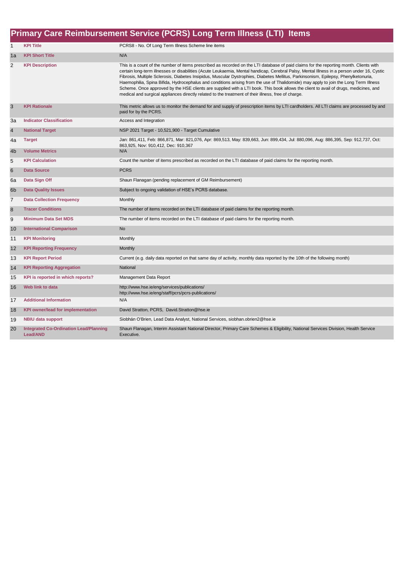### **Primary Care Reimbursement Service (PCRS) Long Term Illness (LTI) Items**

| $\mathbf{1}$   | <b>KPI Title</b>                                          | PCRS8 - No. Of Long Term Illness Scheme line items                                                                                                                                                                                                                                                                                                                                                                                                                                                                                                                                                                                                                                                                                                                                                                 |
|----------------|-----------------------------------------------------------|--------------------------------------------------------------------------------------------------------------------------------------------------------------------------------------------------------------------------------------------------------------------------------------------------------------------------------------------------------------------------------------------------------------------------------------------------------------------------------------------------------------------------------------------------------------------------------------------------------------------------------------------------------------------------------------------------------------------------------------------------------------------------------------------------------------------|
| 1a             | <b>KPI Short Title</b>                                    | N/A                                                                                                                                                                                                                                                                                                                                                                                                                                                                                                                                                                                                                                                                                                                                                                                                                |
| 2              | <b>KPI Description</b>                                    | This is a count of the number of items prescribed as recorded on the LTI database of paid claims for the reporting month. Clients with<br>certain long-term illnesses or disabilities (Acute Leukaemia, Mental handicap, Cerebral Palsy, Mental Illness in a person under 16, Cystic<br>Fibrosis, Multiple Sclerosis, Diabetes Insipidus, Muscular Dystrophies, Diabetes Mellitus, Parkinsonism, Epilepsy, Phenylketonuria,<br>Haemophilia, Spina Bifida, Hydrocephalus and conditions arising from the use of Thalidomide) may apply to join the Long Term Illness<br>Scheme. Once approved by the HSE clients are supplied with a LTI book. This book allows the client to avail of drugs, medicines, and<br>medical and surgical appliances directly related to the treatment of their illness, free of charge. |
| 3              | <b>KPI Rationale</b>                                      | This metric allows us to monitor the demand for and supply of prescription items by LTI cardholders. All LTI claims are processed by and<br>paid for by the PCRS.                                                                                                                                                                                                                                                                                                                                                                                                                                                                                                                                                                                                                                                  |
| За             | <b>Indicator Classification</b>                           | Access and Integration                                                                                                                                                                                                                                                                                                                                                                                                                                                                                                                                                                                                                                                                                                                                                                                             |
| $\overline{4}$ | <b>National Target</b>                                    | NSP 2021 Target - 10,521,900 - Target Cumulative                                                                                                                                                                                                                                                                                                                                                                                                                                                                                                                                                                                                                                                                                                                                                                   |
| 4a             | <b>Target</b>                                             | Jan: 861,411, Feb: 866,871, Mar: 821,076, Apr: 869,513, May: 839,663, Jun: 899,434, Jul: 880,096, Aug: 886,395, Sep: 912,737, Oct:<br>863,925, Nov: 910,412, Dec: 910,367                                                                                                                                                                                                                                                                                                                                                                                                                                                                                                                                                                                                                                          |
| 4 <sub>b</sub> | <b>Volume Metrics</b>                                     | N/A                                                                                                                                                                                                                                                                                                                                                                                                                                                                                                                                                                                                                                                                                                                                                                                                                |
| 5              | <b>KPI Calculation</b>                                    | Count the number of items prescribed as recorded on the LTI database of paid claims for the reporting month.                                                                                                                                                                                                                                                                                                                                                                                                                                                                                                                                                                                                                                                                                                       |
| 6              | <b>Data Source</b>                                        | <b>PCRS</b>                                                                                                                                                                                                                                                                                                                                                                                                                                                                                                                                                                                                                                                                                                                                                                                                        |
| 6a             | Data Sign Off                                             | Shaun Flanagan (pending replacement of GM Reimbursement)                                                                                                                                                                                                                                                                                                                                                                                                                                                                                                                                                                                                                                                                                                                                                           |
| 6 <sub>b</sub> | <b>Data Quality Issues</b>                                | Subject to ongoing validation of HSE's PCRS database.                                                                                                                                                                                                                                                                                                                                                                                                                                                                                                                                                                                                                                                                                                                                                              |
| $\overline{7}$ | <b>Data Collection Frequency</b>                          | Monthly                                                                                                                                                                                                                                                                                                                                                                                                                                                                                                                                                                                                                                                                                                                                                                                                            |
| 8              | <b>Tracer Conditions</b>                                  | The number of items recorded on the LTI database of paid claims for the reporting month.                                                                                                                                                                                                                                                                                                                                                                                                                                                                                                                                                                                                                                                                                                                           |
| 9              | <b>Minimum Data Set MDS</b>                               | The number of items recorded on the LTI database of paid claims for the reporting month.                                                                                                                                                                                                                                                                                                                                                                                                                                                                                                                                                                                                                                                                                                                           |
| 10             | <b>International Comparison</b>                           | <b>No</b>                                                                                                                                                                                                                                                                                                                                                                                                                                                                                                                                                                                                                                                                                                                                                                                                          |
| 11             | <b>KPI Monitoring</b>                                     | Monthly                                                                                                                                                                                                                                                                                                                                                                                                                                                                                                                                                                                                                                                                                                                                                                                                            |
| 12             | <b>KPI Reporting Frequency</b>                            | Monthly                                                                                                                                                                                                                                                                                                                                                                                                                                                                                                                                                                                                                                                                                                                                                                                                            |
| 13             | <b>KPI Report Period</b>                                  | Current (e.g. daily data reported on that same day of activity, monthly data reported by the 10th of the following month)                                                                                                                                                                                                                                                                                                                                                                                                                                                                                                                                                                                                                                                                                          |
| 14             | <b>KPI Reporting Aggregation</b>                          | National                                                                                                                                                                                                                                                                                                                                                                                                                                                                                                                                                                                                                                                                                                                                                                                                           |
| 15             | KPI is reported in which reports?                         | Management Data Report                                                                                                                                                                                                                                                                                                                                                                                                                                                                                                                                                                                                                                                                                                                                                                                             |
| 16             | Web link to data                                          | http://www.hse.ie/eng/services/publications/<br>http://www.hse.ie/eng/staff/pcrs/pcrs-publications/                                                                                                                                                                                                                                                                                                                                                                                                                                                                                                                                                                                                                                                                                                                |
| 17             | <b>Additional Information</b>                             | N/A                                                                                                                                                                                                                                                                                                                                                                                                                                                                                                                                                                                                                                                                                                                                                                                                                |
| 18             | <b>KPI owner/lead for implementation</b>                  | David Stratton, PCRS, David.Stratton@hse.ie                                                                                                                                                                                                                                                                                                                                                                                                                                                                                                                                                                                                                                                                                                                                                                        |
| 19             | <b>NBIU data support</b>                                  | Siobhán O'Brien, Lead Data Analyst, National Services, siobhan.obrien2@hse.ie                                                                                                                                                                                                                                                                                                                                                                                                                                                                                                                                                                                                                                                                                                                                      |
| 20             | <b>Integrated Co-Ordination Lead/Planning</b><br>Lead/AND | Shaun Flanagan, Interim Assistant National Director, Primary Care Schemes & Eligibility, National Services Division, Health Service<br>Executive.                                                                                                                                                                                                                                                                                                                                                                                                                                                                                                                                                                                                                                                                  |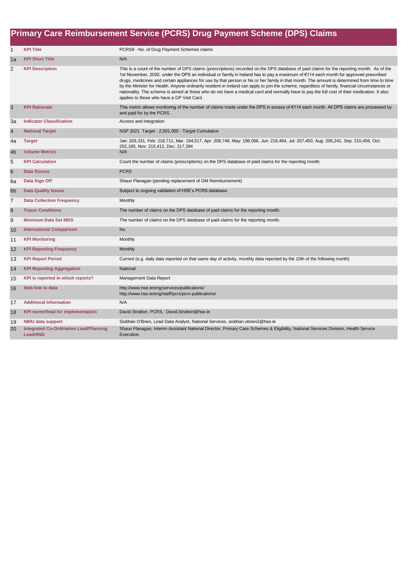|                         | Primary Care Reimbursement Service (PCRS) Drug Payment Scheme (DPS) Claims |                                                                                                                                                                                                                                                                                                                                                                                                                                                                                                                                                                                                                                                                                                                                                                                       |  |
|-------------------------|----------------------------------------------------------------------------|---------------------------------------------------------------------------------------------------------------------------------------------------------------------------------------------------------------------------------------------------------------------------------------------------------------------------------------------------------------------------------------------------------------------------------------------------------------------------------------------------------------------------------------------------------------------------------------------------------------------------------------------------------------------------------------------------------------------------------------------------------------------------------------|--|
| $\mathbf{1}$            | <b>KPI Title</b>                                                           | PCRS9 - No. of Drug Payment Schemes claims                                                                                                                                                                                                                                                                                                                                                                                                                                                                                                                                                                                                                                                                                                                                            |  |
| 1a                      | <b>KPI Short Title</b>                                                     | N/A                                                                                                                                                                                                                                                                                                                                                                                                                                                                                                                                                                                                                                                                                                                                                                                   |  |
| $\overline{2}$          | <b>KPI Description</b>                                                     | This is a count of the number of DPS claims (prescriptions) recorded on the DPS database of paid claims for the reporting month. As of the<br>1st November, 2020, under the DPS an individual or family in Ireland has to pay a maximum of €114 each month for approved prescribed<br>drugs, medicines and certain appliances for use by that person or his or her family in that month. The amount is determined from time to time<br>by the Minister for Health. Anyone ordinarily resident in Ireland can apply to join the scheme, regardless of family, financial circumstances or<br>nationality. The scheme is aimed at those who do not have a medical card and normally have to pay the full cost of their medication. It also<br>applies to those who have a GP Visit Card. |  |
| 3                       | <b>KPI Rationale</b>                                                       | This metric allows monitoring of the number of claims made under the DPS in excess of €114 each month. All DPS claims are processed by<br>and paid for by the PCRS.                                                                                                                                                                                                                                                                                                                                                                                                                                                                                                                                                                                                                   |  |
| За                      | <b>Indicator Classification</b>                                            | Access and Integration                                                                                                                                                                                                                                                                                                                                                                                                                                                                                                                                                                                                                                                                                                                                                                |  |
| $\overline{\mathbf{4}}$ | <b>National Target</b>                                                     | NSP 2021 Target - 2,501,000 - Target Cumulative                                                                                                                                                                                                                                                                                                                                                                                                                                                                                                                                                                                                                                                                                                                                       |  |
| 4a                      | <b>Target</b>                                                              | Jan: 203,331, Feb: 218,711, Mar: 194,517, Apr: 208,748, May: 198,066, Jun: 218,494, Jul: 207,450, Aug: 206,241, Sep: 210,456, Oct:                                                                                                                                                                                                                                                                                                                                                                                                                                                                                                                                                                                                                                                    |  |
| 4 <sub>b</sub>          | <b>Volume Metrics</b>                                                      | 202,180, Nov: 215,412, Dec: 217,394<br>N/A                                                                                                                                                                                                                                                                                                                                                                                                                                                                                                                                                                                                                                                                                                                                            |  |
| 5                       | <b>KPI Calculation</b>                                                     | Count the number of claims (prescriptions) on the DPS database of paid claims for the reporting month.                                                                                                                                                                                                                                                                                                                                                                                                                                                                                                                                                                                                                                                                                |  |
| $\,6$                   | <b>Data Source</b>                                                         | <b>PCRS</b>                                                                                                                                                                                                                                                                                                                                                                                                                                                                                                                                                                                                                                                                                                                                                                           |  |
| 6a                      | Data Sign Off                                                              | Shaun Flanagan (pending replacement of GM Reimbursement)                                                                                                                                                                                                                                                                                                                                                                                                                                                                                                                                                                                                                                                                                                                              |  |
| 6 <sub>b</sub>          | <b>Data Quality Issues</b>                                                 | Subject to ongoing validation of HSE's PCRS database.                                                                                                                                                                                                                                                                                                                                                                                                                                                                                                                                                                                                                                                                                                                                 |  |
| 7                       | <b>Data Collection Frequency</b>                                           | Monthly                                                                                                                                                                                                                                                                                                                                                                                                                                                                                                                                                                                                                                                                                                                                                                               |  |
| 8                       | <b>Tracer Conditions</b>                                                   | The number of claims on the DPS database of paid claims for the reporting month.                                                                                                                                                                                                                                                                                                                                                                                                                                                                                                                                                                                                                                                                                                      |  |
| 9                       | <b>Minimum Data Set MDS</b>                                                | The number of claims on the DPS database of paid claims for the reporting month.                                                                                                                                                                                                                                                                                                                                                                                                                                                                                                                                                                                                                                                                                                      |  |
| 10                      | <b>International Comparison</b>                                            | <b>No</b>                                                                                                                                                                                                                                                                                                                                                                                                                                                                                                                                                                                                                                                                                                                                                                             |  |
| 11                      | <b>KPI Monitoring</b>                                                      | Monthly                                                                                                                                                                                                                                                                                                                                                                                                                                                                                                                                                                                                                                                                                                                                                                               |  |
| 12                      | <b>KPI Reporting Frequency</b>                                             | Monthly                                                                                                                                                                                                                                                                                                                                                                                                                                                                                                                                                                                                                                                                                                                                                                               |  |
| 13                      | <b>KPI Report Period</b>                                                   | Current (e.g. daily data reported on that same day of activity, monthly data reported by the 10th of the following month)                                                                                                                                                                                                                                                                                                                                                                                                                                                                                                                                                                                                                                                             |  |
| 14                      | <b>KPI Reporting Aggregation</b>                                           | National                                                                                                                                                                                                                                                                                                                                                                                                                                                                                                                                                                                                                                                                                                                                                                              |  |
| 15                      | KPI is reported in which reports?                                          | Management Data Report                                                                                                                                                                                                                                                                                                                                                                                                                                                                                                                                                                                                                                                                                                                                                                |  |
| 16                      | Web link to data                                                           | http://www.hse.ie/eng/services/publications/<br>http://www.hse.ie/eng/staff/pcrs/pcrs-publications/                                                                                                                                                                                                                                                                                                                                                                                                                                                                                                                                                                                                                                                                                   |  |
| 17                      | <b>Additional Information</b>                                              | N/A                                                                                                                                                                                                                                                                                                                                                                                                                                                                                                                                                                                                                                                                                                                                                                                   |  |
| 18                      | <b>KPI owner/lead for implementation</b>                                   | David Stratton, PCRS, David.Stratton@hse.ie                                                                                                                                                                                                                                                                                                                                                                                                                                                                                                                                                                                                                                                                                                                                           |  |
| 19                      | <b>NBIU data support</b>                                                   | Siobhán O'Brien, Lead Data Analyst, National Services, siobhan.obrien2@hse.ie                                                                                                                                                                                                                                                                                                                                                                                                                                                                                                                                                                                                                                                                                                         |  |
| 20                      | <b>Integrated Co-Ordination Lead/Planning</b><br><b>Lead/AND</b>           | Shaun Flanagan, Interim Assistant National Director, Primary Care Schemes & Eligibility, National Services Division, Health Service<br>Executive.                                                                                                                                                                                                                                                                                                                                                                                                                                                                                                                                                                                                                                     |  |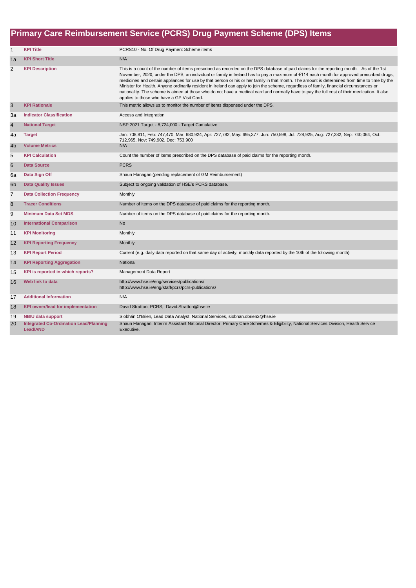|                  | Primary Care Reimbursement Service (PCRS) Drug Payment Scheme (DPS) Items |                                                                                                                                                                                                                                                                                                                                                                                                                                                                                                                                                                                                                                                                                                                                                                                 |  |
|------------------|---------------------------------------------------------------------------|---------------------------------------------------------------------------------------------------------------------------------------------------------------------------------------------------------------------------------------------------------------------------------------------------------------------------------------------------------------------------------------------------------------------------------------------------------------------------------------------------------------------------------------------------------------------------------------------------------------------------------------------------------------------------------------------------------------------------------------------------------------------------------|--|
| $\mathbf{1}$     | <b>KPI Title</b>                                                          | PCRS10 - No. Of Drug Payment Scheme items                                                                                                                                                                                                                                                                                                                                                                                                                                                                                                                                                                                                                                                                                                                                       |  |
| 1a               | <b>KPI Short Title</b>                                                    | N/A                                                                                                                                                                                                                                                                                                                                                                                                                                                                                                                                                                                                                                                                                                                                                                             |  |
| $\overline{2}$   | <b>KPI Description</b>                                                    | This is a count of the number of items prescribed as recorded on the DPS database of paid claims for the reporting month. As of the 1st<br>November, 2020, under the DPS, an individual or family in Ireland has to pay a maximum of €114 each month for approved prescribed drugs,<br>medicines and certain appliances for use by that person or his or her family in that month. The amount is determined from time to time by the<br>Minister for Health. Anyone ordinarily resident in Ireland can apply to join the scheme, regardless of family, financial circumstances or<br>nationality. The scheme is aimed at those who do not have a medical card and normally have to pay the full cost of their medication. It also<br>applies to those who have a GP Visit Card. |  |
| $\mathsf 3$      | <b>KPI Rationale</b>                                                      | This metric allows us to monitor the number of items dispensed under the DPS.                                                                                                                                                                                                                                                                                                                                                                                                                                                                                                                                                                                                                                                                                                   |  |
| 3a               | <b>Indicator Classification</b>                                           | Access and Integration                                                                                                                                                                                                                                                                                                                                                                                                                                                                                                                                                                                                                                                                                                                                                          |  |
| $\overline{4}$   | <b>National Target</b>                                                    | NSP 2021 Target - 8,724,000 - Target Cumulative                                                                                                                                                                                                                                                                                                                                                                                                                                                                                                                                                                                                                                                                                                                                 |  |
| 4a               | <b>Target</b>                                                             | Jan: 708,811, Feb: 747,470, Mar: 680,924, Apr: 727,782, May: 695,377, Jun: 750,598, Jul: 728,925, Aug: 727,282, Sep: 740,064, Oct:<br>712,965, Nov: 749,902, Dec: 753,900                                                                                                                                                                                                                                                                                                                                                                                                                                                                                                                                                                                                       |  |
| 4b               | <b>Volume Metrics</b>                                                     | N/A                                                                                                                                                                                                                                                                                                                                                                                                                                                                                                                                                                                                                                                                                                                                                                             |  |
| 5                | <b>KPI Calculation</b>                                                    | Count the number of items prescribed on the DPS database of paid claims for the reporting month.                                                                                                                                                                                                                                                                                                                                                                                                                                                                                                                                                                                                                                                                                |  |
| $6\phantom{1}$   | <b>Data Source</b>                                                        | <b>PCRS</b>                                                                                                                                                                                                                                                                                                                                                                                                                                                                                                                                                                                                                                                                                                                                                                     |  |
| 6a               | Data Sign Off                                                             | Shaun Flanagan (pending replacement of GM Reimbursement)                                                                                                                                                                                                                                                                                                                                                                                                                                                                                                                                                                                                                                                                                                                        |  |
| 6 <sub>b</sub>   | <b>Data Quality Issues</b>                                                | Subject to ongoing validation of HSE's PCRS database.                                                                                                                                                                                                                                                                                                                                                                                                                                                                                                                                                                                                                                                                                                                           |  |
| $\overline{7}$   | <b>Data Collection Frequency</b>                                          | Monthly                                                                                                                                                                                                                                                                                                                                                                                                                                                                                                                                                                                                                                                                                                                                                                         |  |
| $\boldsymbol{8}$ | <b>Tracer Conditions</b>                                                  | Number of items on the DPS database of paid claims for the reporting month.                                                                                                                                                                                                                                                                                                                                                                                                                                                                                                                                                                                                                                                                                                     |  |
| 9                | <b>Minimum Data Set MDS</b>                                               | Number of items on the DPS database of paid claims for the reporting month.                                                                                                                                                                                                                                                                                                                                                                                                                                                                                                                                                                                                                                                                                                     |  |
| 10               | <b>International Comparison</b>                                           | <b>No</b>                                                                                                                                                                                                                                                                                                                                                                                                                                                                                                                                                                                                                                                                                                                                                                       |  |
| 11               | <b>KPI Monitoring</b>                                                     | Monthly                                                                                                                                                                                                                                                                                                                                                                                                                                                                                                                                                                                                                                                                                                                                                                         |  |
| 12               | <b>KPI Reporting Frequency</b>                                            | Monthly                                                                                                                                                                                                                                                                                                                                                                                                                                                                                                                                                                                                                                                                                                                                                                         |  |
| 13               | <b>KPI Report Period</b>                                                  | Current (e.g. daily data reported on that same day of activity, monthly data reported by the 10th of the following month)                                                                                                                                                                                                                                                                                                                                                                                                                                                                                                                                                                                                                                                       |  |
| 14               | <b>KPI Reporting Aggregation</b>                                          | National                                                                                                                                                                                                                                                                                                                                                                                                                                                                                                                                                                                                                                                                                                                                                                        |  |
| 15               | KPI is reported in which reports?                                         | Management Data Report                                                                                                                                                                                                                                                                                                                                                                                                                                                                                                                                                                                                                                                                                                                                                          |  |
| 16               | Web link to data                                                          | http://www.hse.ie/eng/services/publications/<br>http://www.hse.ie/eng/staff/pcrs/pcrs-publications/                                                                                                                                                                                                                                                                                                                                                                                                                                                                                                                                                                                                                                                                             |  |
| 17               | <b>Additional Information</b>                                             | N/A                                                                                                                                                                                                                                                                                                                                                                                                                                                                                                                                                                                                                                                                                                                                                                             |  |
| 18               | <b>KPI owner/lead for implementation</b>                                  | David Stratton, PCRS, David.Stratton@hse.ie                                                                                                                                                                                                                                                                                                                                                                                                                                                                                                                                                                                                                                                                                                                                     |  |
| 19               | <b>NBIU data support</b>                                                  | Siobhán O'Brien, Lead Data Analyst, National Services, siobhan.obrien2@hse.ie                                                                                                                                                                                                                                                                                                                                                                                                                                                                                                                                                                                                                                                                                                   |  |
| 20               | <b>Integrated Co-Ordination Lead/Planning</b><br>Lead/AND                 | Shaun Flanagan, Interim Assistant National Director, Primary Care Schemes & Eligibility, National Services Division, Health Service<br>Executive.                                                                                                                                                                                                                                                                                                                                                                                                                                                                                                                                                                                                                               |  |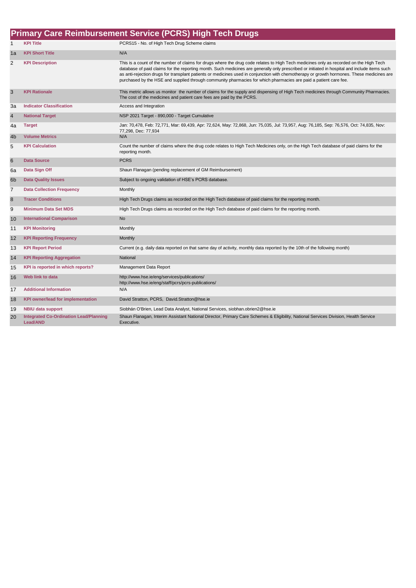| <b>Primary Care Reimbursement Service (PCRS) High Tech Drugs</b> |                                                           |                                                                                                                                                                                                                                                                                                                                                                                                                                                                                                                                                           |
|------------------------------------------------------------------|-----------------------------------------------------------|-----------------------------------------------------------------------------------------------------------------------------------------------------------------------------------------------------------------------------------------------------------------------------------------------------------------------------------------------------------------------------------------------------------------------------------------------------------------------------------------------------------------------------------------------------------|
| $\mathbf{1}$                                                     | <b>KPI Title</b>                                          | PCRS15 - No. of High Tech Drug Scheme claims                                                                                                                                                                                                                                                                                                                                                                                                                                                                                                              |
| 1a                                                               | <b>KPI Short Title</b>                                    | N/A                                                                                                                                                                                                                                                                                                                                                                                                                                                                                                                                                       |
| $\overline{2}$                                                   | <b>KPI Description</b>                                    | This is a count of the number of claims for drugs where the drug code relates to High Tech medicines only as recorded on the High Tech<br>database of paid claims for the reporting month. Such medicines are generally only prescribed or initiated in hospital and include items such<br>as anti-rejection drugs for transplant patients or medicines used in conjunction with chemotherapy or growth hormones. These medicines are<br>purchased by the HSE and supplied through community pharmacies for which pharmacies are paid a patient care fee. |
| 3                                                                | <b>KPI Rationale</b>                                      | This metric allows us monitor the number of claims for the supply and dispensing of High Tech medicines through Community Pharmacies.<br>The cost of the medicines and patient care fees are paid by the PCRS.                                                                                                                                                                                                                                                                                                                                            |
| За                                                               | <b>Indicator Classification</b>                           | Access and Integration                                                                                                                                                                                                                                                                                                                                                                                                                                                                                                                                    |
| $\overline{4}$                                                   | <b>National Target</b>                                    | NSP 2021 Target - 890,000 - Target Cumulative                                                                                                                                                                                                                                                                                                                                                                                                                                                                                                             |
| 4a                                                               | <b>Target</b>                                             | Jan: 70,478, Feb: 72,771, Mar: 69,439, Apr: 72,624, May: 72,868, Jun: 75,035, Jul: 73,957, Aug: 76,185, Sep: 76,576, Oct: 74,835, Nov:<br>77,298, Dec: 77,934                                                                                                                                                                                                                                                                                                                                                                                             |
| 4 <sub>b</sub>                                                   | <b>Volume Metrics</b>                                     | N/A                                                                                                                                                                                                                                                                                                                                                                                                                                                                                                                                                       |
| 5                                                                | <b>KPI Calculation</b>                                    | Count the number of claims where the drug code relates to High Tech Medicines only, on the High Tech database of paid claims for the<br>reporting month.                                                                                                                                                                                                                                                                                                                                                                                                  |
| 6                                                                | <b>Data Source</b>                                        | <b>PCRS</b>                                                                                                                                                                                                                                                                                                                                                                                                                                                                                                                                               |
| 6a                                                               | Data Sign Off                                             | Shaun Flanagan (pending replacement of GM Reimbursement)                                                                                                                                                                                                                                                                                                                                                                                                                                                                                                  |
| 6 <sub>b</sub>                                                   | <b>Data Quality Issues</b>                                | Subject to ongoing validation of HSE's PCRS database.                                                                                                                                                                                                                                                                                                                                                                                                                                                                                                     |
| $\overline{7}$                                                   | <b>Data Collection Frequency</b>                          | Monthly                                                                                                                                                                                                                                                                                                                                                                                                                                                                                                                                                   |
| 8                                                                | <b>Tracer Conditions</b>                                  | High Tech Drugs claims as recorded on the High Tech database of paid claims for the reporting month.                                                                                                                                                                                                                                                                                                                                                                                                                                                      |
| 9                                                                | <b>Minimum Data Set MDS</b>                               | High Tech Drugs claims as recorded on the High Tech database of paid claims for the reporting month.                                                                                                                                                                                                                                                                                                                                                                                                                                                      |
| 10                                                               | <b>International Comparison</b>                           | <b>No</b>                                                                                                                                                                                                                                                                                                                                                                                                                                                                                                                                                 |
| 11                                                               | <b>KPI Monitoring</b>                                     | Monthly                                                                                                                                                                                                                                                                                                                                                                                                                                                                                                                                                   |
| 12                                                               | <b>KPI Reporting Frequency</b>                            | Monthly                                                                                                                                                                                                                                                                                                                                                                                                                                                                                                                                                   |
| 13                                                               | <b>KPI Report Period</b>                                  | Current (e.g. daily data reported on that same day of activity, monthly data reported by the 10th of the following month)                                                                                                                                                                                                                                                                                                                                                                                                                                 |
| 14                                                               | <b>KPI Reporting Aggregation</b>                          | National                                                                                                                                                                                                                                                                                                                                                                                                                                                                                                                                                  |
| 15                                                               | KPI is reported in which reports?                         | Management Data Report                                                                                                                                                                                                                                                                                                                                                                                                                                                                                                                                    |
| 16                                                               | Web link to data                                          | http://www.hse.ie/eng/services/publications/<br>http://www.hse.ie/eng/staff/pcrs/pcrs-publications/                                                                                                                                                                                                                                                                                                                                                                                                                                                       |
| 17                                                               | <b>Additional Information</b>                             | N/A                                                                                                                                                                                                                                                                                                                                                                                                                                                                                                                                                       |
| 18                                                               | <b>KPI owner/lead for implementation</b>                  | David Stratton, PCRS, David.Stratton@hse.ie                                                                                                                                                                                                                                                                                                                                                                                                                                                                                                               |
| 19                                                               | <b>NBIU data support</b>                                  | Siobhán O'Brien, Lead Data Analyst, National Services, siobhan.obrien2@hse.ie                                                                                                                                                                                                                                                                                                                                                                                                                                                                             |
| 20                                                               | <b>Integrated Co-Ordination Lead/Planning</b><br>Lead/AND | Shaun Flanagan, Interim Assistant National Director, Primary Care Schemes & Eligibility, National Services Division, Health Service<br>Executive.                                                                                                                                                                                                                                                                                                                                                                                                         |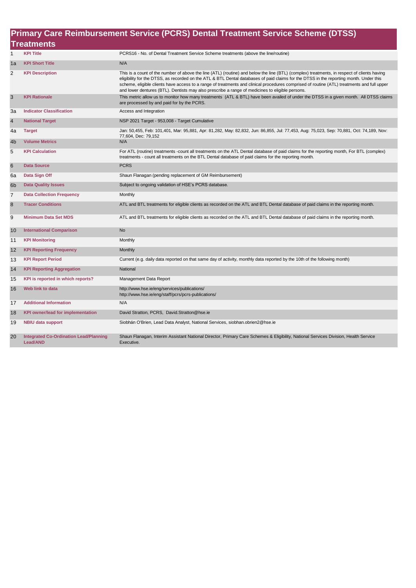|                | Primary Care Reimbursement Service (PCRS) Dental Treatment Service Scheme (DTSS) |                                                                                                                                                                                                                                                                                                                                                                                                                                                                                                                                        |  |  |
|----------------|----------------------------------------------------------------------------------|----------------------------------------------------------------------------------------------------------------------------------------------------------------------------------------------------------------------------------------------------------------------------------------------------------------------------------------------------------------------------------------------------------------------------------------------------------------------------------------------------------------------------------------|--|--|
|                | <b>Treatments</b>                                                                |                                                                                                                                                                                                                                                                                                                                                                                                                                                                                                                                        |  |  |
| $\mathbf{1}$   | <b>KPI Title</b>                                                                 | PCRS16 - No. of Dental Treatment Service Scheme treatments (above the line/routine)                                                                                                                                                                                                                                                                                                                                                                                                                                                    |  |  |
| 1a             | <b>KPI Short Title</b>                                                           | N/A                                                                                                                                                                                                                                                                                                                                                                                                                                                                                                                                    |  |  |
| 2              | <b>KPI Description</b>                                                           | This is a count of the number of above the line (ATL) (routine) and below the line (BTL) (complex) treatments, in respect of clients having<br>eligibility for the DTSS, as recorded on the ATL & BTL Dental databases of paid claims for the DTSS in the reporting month. Under this<br>scheme, eligible clients have access to a range of treatments and clinical procedures comprised of routine (ATL) treatments and full upper<br>and lower dentures (BTL). Dentists may also prescribe a range of medicines to eligible persons. |  |  |
| 3              | <b>KPI Rationale</b>                                                             | This metric allow us to monitor how many treatments (ATL & BTL) have been availed of under the DTSS in a given month. All DTSS claims<br>are processed by and paid for by the PCRS.                                                                                                                                                                                                                                                                                                                                                    |  |  |
| 3a             | <b>Indicator Classification</b>                                                  | Access and Integration                                                                                                                                                                                                                                                                                                                                                                                                                                                                                                                 |  |  |
| 4              | <b>National Target</b>                                                           | NSP 2021 Target - 953,008 - Target Cumulative                                                                                                                                                                                                                                                                                                                                                                                                                                                                                          |  |  |
| 4a             | <b>Target</b>                                                                    | Jan: 50,455, Feb: 101,401, Mar: 95,881, Apr: 81,282, May: 82,832, Jun: 86,855, Jul: 77,453, Aug: 75,023, Sep: 70,881, Oct: 74,189, Nov:<br>77,604, Dec: 79,152                                                                                                                                                                                                                                                                                                                                                                         |  |  |
| 4b             | <b>Volume Metrics</b>                                                            | N/A                                                                                                                                                                                                                                                                                                                                                                                                                                                                                                                                    |  |  |
| 5              | <b>KPI Calculation</b>                                                           | For ATL (routine) treatments -count all treatments on the ATL Dental database of paid claims for the reporting month, For BTL (complex)<br>treatments - count all treatments on the BTL Dental database of paid claims for the reporting month.                                                                                                                                                                                                                                                                                        |  |  |
| 6              | <b>Data Source</b>                                                               | <b>PCRS</b>                                                                                                                                                                                                                                                                                                                                                                                                                                                                                                                            |  |  |
| 6a             | Data Sign Off                                                                    | Shaun Flanagan (pending replacement of GM Reimbursement)                                                                                                                                                                                                                                                                                                                                                                                                                                                                               |  |  |
| 6 <sub>b</sub> | <b>Data Quality Issues</b>                                                       | Subject to ongoing validation of HSE's PCRS database.                                                                                                                                                                                                                                                                                                                                                                                                                                                                                  |  |  |
| $\overline{7}$ | <b>Data Collection Frequency</b>                                                 | Monthly                                                                                                                                                                                                                                                                                                                                                                                                                                                                                                                                |  |  |
| 8              | <b>Tracer Conditions</b>                                                         | ATL and BTL treatments for eligible clients as recorded on the ATL and BTL Dental database of paid claims in the reporting month.                                                                                                                                                                                                                                                                                                                                                                                                      |  |  |
| 9              | <b>Minimum Data Set MDS</b>                                                      | ATL and BTL treatments for eligible clients as recorded on the ATL and BTL Dental database of paid claims in the reporting month.                                                                                                                                                                                                                                                                                                                                                                                                      |  |  |
| 10             | <b>International Comparison</b>                                                  | <b>No</b>                                                                                                                                                                                                                                                                                                                                                                                                                                                                                                                              |  |  |
| 11             | <b>KPI Monitoring</b>                                                            | Monthly                                                                                                                                                                                                                                                                                                                                                                                                                                                                                                                                |  |  |
| 12             | <b>KPI Reporting Frequency</b>                                                   | Monthly                                                                                                                                                                                                                                                                                                                                                                                                                                                                                                                                |  |  |
| 13             | <b>KPI Report Period</b>                                                         | Current (e.g. daily data reported on that same day of activity, monthly data reported by the 10th of the following month)                                                                                                                                                                                                                                                                                                                                                                                                              |  |  |
| 14             | <b>KPI Reporting Aggregation</b>                                                 | National                                                                                                                                                                                                                                                                                                                                                                                                                                                                                                                               |  |  |
| 15             | KPI is reported in which reports?                                                | Management Data Report                                                                                                                                                                                                                                                                                                                                                                                                                                                                                                                 |  |  |
| 16             | Web link to data                                                                 | http://www.hse.ie/eng/services/publications/<br>http://www.hse.ie/eng/staff/pcrs/pcrs-publications/                                                                                                                                                                                                                                                                                                                                                                                                                                    |  |  |
| 17             | <b>Additional Information</b>                                                    | N/A                                                                                                                                                                                                                                                                                                                                                                                                                                                                                                                                    |  |  |
| 18             | <b>KPI owner/lead for implementation</b>                                         | David Stratton, PCRS, David.Stratton@hse.ie                                                                                                                                                                                                                                                                                                                                                                                                                                                                                            |  |  |
| 19             | <b>NBIU data support</b>                                                         | Siobhán O'Brien, Lead Data Analyst, National Services, siobhan.obrien2@hse.ie                                                                                                                                                                                                                                                                                                                                                                                                                                                          |  |  |
| 20             | <b>Integrated Co-Ordination Lead/Planning</b><br><b>Lead/AND</b>                 | Shaun Flanagan, Interim Assistant National Director, Primary Care Schemes & Eligibility, National Services Division, Health Service<br>Executive.                                                                                                                                                                                                                                                                                                                                                                                      |  |  |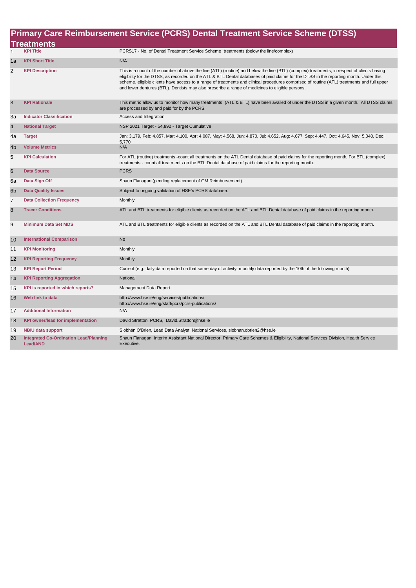| Primary Care Reimbursement Service (PCRS) Dental Treatment Service Scheme (DTSS) |                                                                  |                                                                                                                                                                                                                                                                                                                                                                                                                                                                                                                                        |  |  |
|----------------------------------------------------------------------------------|------------------------------------------------------------------|----------------------------------------------------------------------------------------------------------------------------------------------------------------------------------------------------------------------------------------------------------------------------------------------------------------------------------------------------------------------------------------------------------------------------------------------------------------------------------------------------------------------------------------|--|--|
|                                                                                  | <b>Treatments</b>                                                |                                                                                                                                                                                                                                                                                                                                                                                                                                                                                                                                        |  |  |
| $\mathbf{1}$                                                                     | <b>KPI Title</b>                                                 | PCRS17 - No. of Dental Treatment Service Scheme treatments (below the line/complex)                                                                                                                                                                                                                                                                                                                                                                                                                                                    |  |  |
| 1a                                                                               | <b>KPI Short Title</b>                                           | N/A                                                                                                                                                                                                                                                                                                                                                                                                                                                                                                                                    |  |  |
| $\overline{2}$                                                                   | <b>KPI Description</b>                                           | This is a count of the number of above the line (ATL) (routine) and below the line (BTL) (complex) treatments, in respect of clients having<br>eligibility for the DTSS, as recorded on the ATL & BTL Dental databases of paid claims for the DTSS in the reporting month. Under this<br>scheme, eligible clients have access to a range of treatments and clinical procedures comprised of routine (ATL) treatments and full upper<br>and lower dentures (BTL). Dentists may also prescribe a range of medicines to eligible persons. |  |  |
| $\mathsf 3$                                                                      | <b>KPI Rationale</b>                                             | This metric allow us to monitor how many treatments (ATL & BTL) have been availed of under the DTSS in a given month. All DTSS claims<br>are processed by and paid for by the PCRS.                                                                                                                                                                                                                                                                                                                                                    |  |  |
| За                                                                               | <b>Indicator Classification</b>                                  | Access and Integration                                                                                                                                                                                                                                                                                                                                                                                                                                                                                                                 |  |  |
| $\overline{\mathbf{4}}$                                                          | <b>National Target</b>                                           | NSP 2021 Target - 54,892 - Target Cumulative                                                                                                                                                                                                                                                                                                                                                                                                                                                                                           |  |  |
| 4a                                                                               | <b>Target</b>                                                    | Jan: 3,179, Feb: 4,857, Mar: 4,100, Apr: 4,087, May: 4,568, Jun: 4,870, Jul: 4,652, Aug: 4,677, Sep: 4,447, Oct: 4,645, Nov: 5,040, Dec:<br>5,770                                                                                                                                                                                                                                                                                                                                                                                      |  |  |
| 4 <sub>b</sub>                                                                   | <b>Volume Metrics</b>                                            | N/A                                                                                                                                                                                                                                                                                                                                                                                                                                                                                                                                    |  |  |
| 5                                                                                | <b>KPI Calculation</b>                                           | For ATL (routine) treatments -count all treatments on the ATL Dental database of paid claims for the reporting month, For BTL (complex)<br>treatments - count all treatments on the BTL Dental database of paid claims for the reporting month.                                                                                                                                                                                                                                                                                        |  |  |
| $6\phantom{1}$                                                                   | <b>Data Source</b>                                               | <b>PCRS</b>                                                                                                                                                                                                                                                                                                                                                                                                                                                                                                                            |  |  |
| 6a                                                                               | Data Sign Off                                                    | Shaun Flanagan (pending replacement of GM Reimbursement)                                                                                                                                                                                                                                                                                                                                                                                                                                                                               |  |  |
| 6 <sub>b</sub>                                                                   | <b>Data Quality Issues</b>                                       | Subject to ongoing validation of HSE's PCRS database.                                                                                                                                                                                                                                                                                                                                                                                                                                                                                  |  |  |
| $\overline{7}$                                                                   | <b>Data Collection Frequency</b>                                 | Monthly                                                                                                                                                                                                                                                                                                                                                                                                                                                                                                                                |  |  |
| 8                                                                                | <b>Tracer Conditions</b>                                         | ATL and BTL treatments for eligible clients as recorded on the ATL and BTL Dental database of paid claims in the reporting month.                                                                                                                                                                                                                                                                                                                                                                                                      |  |  |
| 9                                                                                | <b>Minimum Data Set MDS</b>                                      | ATL and BTL treatments for eligible clients as recorded on the ATL and BTL Dental database of paid claims in the reporting month.                                                                                                                                                                                                                                                                                                                                                                                                      |  |  |
| 10                                                                               | <b>International Comparison</b>                                  | <b>No</b>                                                                                                                                                                                                                                                                                                                                                                                                                                                                                                                              |  |  |
| 11                                                                               | <b>KPI Monitoring</b>                                            | Monthly                                                                                                                                                                                                                                                                                                                                                                                                                                                                                                                                |  |  |
| 12                                                                               | <b>KPI Reporting Frequency</b>                                   | Monthly                                                                                                                                                                                                                                                                                                                                                                                                                                                                                                                                |  |  |
| 13                                                                               | <b>KPI Report Period</b>                                         | Current (e.g. daily data reported on that same day of activity, monthly data reported by the 10th of the following month)                                                                                                                                                                                                                                                                                                                                                                                                              |  |  |
| 14                                                                               | <b>KPI Reporting Aggregation</b>                                 | National                                                                                                                                                                                                                                                                                                                                                                                                                                                                                                                               |  |  |
| 15                                                                               | KPI is reported in which reports?                                | Management Data Report                                                                                                                                                                                                                                                                                                                                                                                                                                                                                                                 |  |  |
| 16                                                                               | Web link to data                                                 | http://www.hse.ie/eng/services/publications/<br>http://www.hse.ie/eng/staff/pcrs/pcrs-publications/                                                                                                                                                                                                                                                                                                                                                                                                                                    |  |  |
| 17                                                                               | <b>Additional Information</b>                                    | N/A                                                                                                                                                                                                                                                                                                                                                                                                                                                                                                                                    |  |  |
| 18                                                                               | <b>KPI owner/lead for implementation</b>                         | David Stratton, PCRS, David.Stratton@hse.ie                                                                                                                                                                                                                                                                                                                                                                                                                                                                                            |  |  |
| 19                                                                               | <b>NBIU data support</b>                                         | Siobhán O'Brien, Lead Data Analyst, National Services, siobhan.obrien2@hse.ie                                                                                                                                                                                                                                                                                                                                                                                                                                                          |  |  |
| 20                                                                               | <b>Integrated Co-Ordination Lead/Planning</b><br><b>Lead/AND</b> | Shaun Flanagan, Interim Assistant National Director, Primary Care Schemes & Eligibility, National Services Division, Health Service<br>Executive.                                                                                                                                                                                                                                                                                                                                                                                      |  |  |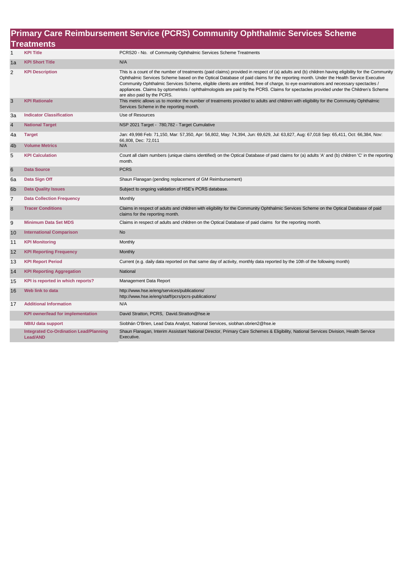|                         | Primary Care Reimbursement Service (PCRS) Community Ophthalmic Services Scheme |                                                                                                                                                                                                                                                                                                                                                                                                                                                                                                                                                                                                         |  |  |
|-------------------------|--------------------------------------------------------------------------------|---------------------------------------------------------------------------------------------------------------------------------------------------------------------------------------------------------------------------------------------------------------------------------------------------------------------------------------------------------------------------------------------------------------------------------------------------------------------------------------------------------------------------------------------------------------------------------------------------------|--|--|
| <b>Treatments</b>       |                                                                                |                                                                                                                                                                                                                                                                                                                                                                                                                                                                                                                                                                                                         |  |  |
| $\mathbf{1}$            | <b>KPI Title</b>                                                               | PCRS20 - No. of Community Ophthalmic Services Scheme Treatments                                                                                                                                                                                                                                                                                                                                                                                                                                                                                                                                         |  |  |
| 1a                      | <b>KPI Short Title</b>                                                         | N/A                                                                                                                                                                                                                                                                                                                                                                                                                                                                                                                                                                                                     |  |  |
| 2                       | <b>KPI Description</b>                                                         | This is a count of the number of treatments (paid claims) provided in respect of (a) adults and (b) children having eligibility for the Community<br>Ophthalmic Services Scheme based on the Optical Database of paid claims for the reporting month. Under the Health Service Executive<br>Community Ophthalmic Services Scheme, eligible clients are entitled, free of charge, to eye examinations and necessary spectacles /<br>appliances. Claims by optometrists / ophthalmologists are paid by the PCRS. Claims for spectacles provided under the Children's Scheme<br>are also paid by the PCRS. |  |  |
| 3                       | <b>KPI Rationale</b>                                                           | This metric allows us to monitor the number of treatments provided to adults and children with eligibility for the Community Ophthalmic<br>Services Scheme in the reporting month.                                                                                                                                                                                                                                                                                                                                                                                                                      |  |  |
| За                      | <b>Indicator Classification</b>                                                | Use of Resources                                                                                                                                                                                                                                                                                                                                                                                                                                                                                                                                                                                        |  |  |
| $\overline{\mathbf{4}}$ | <b>National Target</b>                                                         | NSP 2021 Target - 780,782 - Target Cumulative                                                                                                                                                                                                                                                                                                                                                                                                                                                                                                                                                           |  |  |
| 4a                      | <b>Target</b>                                                                  | Jan: 49,998 Feb: 71,150, Mar: 57,350, Apr: 56,802, May: 74,394, Jun: 69,629, Jul: 63,827, Aug: 67,018 Sep: 65,411, Oct: 66,384, Nov:<br>66,808, Dec: 72,011                                                                                                                                                                                                                                                                                                                                                                                                                                             |  |  |
| 4b                      | <b>Volume Metrics</b>                                                          | N/A                                                                                                                                                                                                                                                                                                                                                                                                                                                                                                                                                                                                     |  |  |
| 5                       | <b>KPI Calculation</b>                                                         | Count all claim numbers (unique claims identified) on the Optical Database of paid claims for (a) adults 'A' and (b) children 'C' in the reporting<br>month.                                                                                                                                                                                                                                                                                                                                                                                                                                            |  |  |
| 6                       | <b>Data Source</b>                                                             | <b>PCRS</b>                                                                                                                                                                                                                                                                                                                                                                                                                                                                                                                                                                                             |  |  |
| 6a                      | Data Sign Off                                                                  | Shaun Flanagan (pending replacement of GM Reimbursement)                                                                                                                                                                                                                                                                                                                                                                                                                                                                                                                                                |  |  |
| 6 <sub>b</sub>          | <b>Data Quality Issues</b>                                                     | Subject to ongoing validation of HSE's PCRS database.                                                                                                                                                                                                                                                                                                                                                                                                                                                                                                                                                   |  |  |
| $\overline{7}$          | <b>Data Collection Frequency</b>                                               | Monthly                                                                                                                                                                                                                                                                                                                                                                                                                                                                                                                                                                                                 |  |  |
| 8                       | <b>Tracer Conditions</b>                                                       | Claims in respect of adults and children with eligibility for the Community Ophthalmic Services Scheme on the Optical Database of paid<br>claims for the reporting month.                                                                                                                                                                                                                                                                                                                                                                                                                               |  |  |
| 9                       | <b>Minimum Data Set MDS</b>                                                    | Claims in respect of adults and children on the Optical Database of paid claims for the reporting month.                                                                                                                                                                                                                                                                                                                                                                                                                                                                                                |  |  |
| 10                      | <b>International Comparison</b>                                                | <b>No</b>                                                                                                                                                                                                                                                                                                                                                                                                                                                                                                                                                                                               |  |  |
| 11                      | <b>KPI Monitoring</b>                                                          | Monthly                                                                                                                                                                                                                                                                                                                                                                                                                                                                                                                                                                                                 |  |  |
| 12                      | <b>KPI Reporting Frequency</b>                                                 | Monthly                                                                                                                                                                                                                                                                                                                                                                                                                                                                                                                                                                                                 |  |  |
| 13                      | <b>KPI Report Period</b>                                                       | Current (e.g. daily data reported on that same day of activity, monthly data reported by the 10th of the following month)                                                                                                                                                                                                                                                                                                                                                                                                                                                                               |  |  |
| 14                      | <b>KPI Reporting Aggregation</b>                                               | National                                                                                                                                                                                                                                                                                                                                                                                                                                                                                                                                                                                                |  |  |
| 15                      | KPI is reported in which reports?                                              | Management Data Report                                                                                                                                                                                                                                                                                                                                                                                                                                                                                                                                                                                  |  |  |
| 16                      | Web link to data                                                               | http://www.hse.ie/eng/services/publications/<br>http://www.hse.ie/eng/staff/pcrs/pcrs-publications/                                                                                                                                                                                                                                                                                                                                                                                                                                                                                                     |  |  |
| 17                      | <b>Additional Information</b>                                                  | N/A                                                                                                                                                                                                                                                                                                                                                                                                                                                                                                                                                                                                     |  |  |
|                         | <b>KPI owner/lead for implementation</b>                                       | David Stratton, PCRS, David.Stratton@hse.ie                                                                                                                                                                                                                                                                                                                                                                                                                                                                                                                                                             |  |  |
|                         | <b>NBIU data support</b>                                                       | Siobhán O'Brien, Lead Data Analyst, National Services, siobhan.obrien2@hse.ie                                                                                                                                                                                                                                                                                                                                                                                                                                                                                                                           |  |  |
|                         | <b>Integrated Co-Ordination Lead/Planning</b><br><b>Lead/AND</b>               | Shaun Flanagan, Interim Assistant National Director, Primary Care Schemes & Eligibility, National Services Division, Health Service<br>Executive.                                                                                                                                                                                                                                                                                                                                                                                                                                                       |  |  |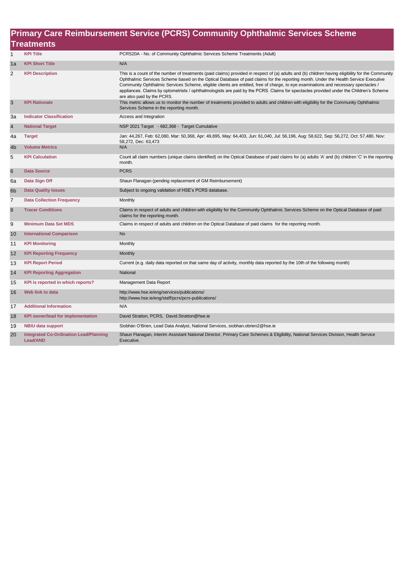|                | Primary Care Reimbursement Service (PCRS) Community Ophthalmic Services Scheme |                                                                                                                                                                                                                                                                                                                                                                                                                                                                                                                                                                                                         |  |  |
|----------------|--------------------------------------------------------------------------------|---------------------------------------------------------------------------------------------------------------------------------------------------------------------------------------------------------------------------------------------------------------------------------------------------------------------------------------------------------------------------------------------------------------------------------------------------------------------------------------------------------------------------------------------------------------------------------------------------------|--|--|
|                | <b>Treatments</b>                                                              |                                                                                                                                                                                                                                                                                                                                                                                                                                                                                                                                                                                                         |  |  |
| $\mathbf{1}$   | <b>KPI Title</b>                                                               | PCRS20A - No. of Community Ophthalmic Services Scheme Treatments (Adult)                                                                                                                                                                                                                                                                                                                                                                                                                                                                                                                                |  |  |
| 1a             | <b>KPI Short Title</b>                                                         | N/A                                                                                                                                                                                                                                                                                                                                                                                                                                                                                                                                                                                                     |  |  |
| $\overline{c}$ | <b>KPI Description</b>                                                         | This is a count of the number of treatments (paid claims) provided in respect of (a) adults and (b) children having eligibility for the Community<br>Ophthalmic Services Scheme based on the Optical Database of paid claims for the reporting month. Under the Health Service Executive<br>Community Ophthalmic Services Scheme, eligible clients are entitled, free of charge, to eye examinations and necessary spectacles /<br>appliances. Claims by optometrists / ophthalmologists are paid by the PCRS. Claims for spectacles provided under the Children's Scheme<br>are also paid by the PCRS. |  |  |
| $\mathsf 3$    | <b>KPI Rationale</b>                                                           | This metric allows us to monitor the number of treatments provided to adults and children with eligibility for the Community Ophthalmic<br>Services Scheme in the reporting month.                                                                                                                                                                                                                                                                                                                                                                                                                      |  |  |
| 3a             | <b>Indicator Classification</b>                                                | Access and Integration                                                                                                                                                                                                                                                                                                                                                                                                                                                                                                                                                                                  |  |  |
| $\overline{4}$ | <b>National Target</b>                                                         | NSP 2021 Target - 682,368 - Target Cumulative                                                                                                                                                                                                                                                                                                                                                                                                                                                                                                                                                           |  |  |
| 4a             | <b>Target</b>                                                                  | Jan: 44,267, Feb: 62,080, Mar: 50,368, Apr: 49,895, May: 64,403, Jun: 61,040, Jul: 56,196, Aug: 58,622, Sep: 56,272, Oct: 57,480, Nov:<br>58,272, Dec: 63,473                                                                                                                                                                                                                                                                                                                                                                                                                                           |  |  |
| 4b             | <b>Volume Metrics</b>                                                          | N/A                                                                                                                                                                                                                                                                                                                                                                                                                                                                                                                                                                                                     |  |  |
| 5              | <b>KPI Calculation</b>                                                         | Count all claim numbers (unique claims identified) on the Optical Database of paid claims for (a) adults 'A' and (b) children 'C' in the reporting<br>month.                                                                                                                                                                                                                                                                                                                                                                                                                                            |  |  |
| $6\phantom{1}$ | <b>Data Source</b>                                                             | <b>PCRS</b>                                                                                                                                                                                                                                                                                                                                                                                                                                                                                                                                                                                             |  |  |
| 6a             | Data Sign Off                                                                  | Shaun Flanagan (pending replacement of GM Reimbursement)                                                                                                                                                                                                                                                                                                                                                                                                                                                                                                                                                |  |  |
| 6 <sub>b</sub> | <b>Data Quality Issues</b>                                                     | Subject to ongoing validation of HSE's PCRS database.                                                                                                                                                                                                                                                                                                                                                                                                                                                                                                                                                   |  |  |
| $\overline{7}$ | <b>Data Collection Frequency</b>                                               | Monthly                                                                                                                                                                                                                                                                                                                                                                                                                                                                                                                                                                                                 |  |  |
| $\bf 8$        | <b>Tracer Conditions</b>                                                       | Claims in respect of adults and children with eligibility for the Community Ophthalmic Services Scheme on the Optical Database of paid<br>claims for the reporting month.                                                                                                                                                                                                                                                                                                                                                                                                                               |  |  |
| 9              | <b>Minimum Data Set MDS</b>                                                    | Claims in respect of adults and children on the Optical Database of paid claims for the reporting month.                                                                                                                                                                                                                                                                                                                                                                                                                                                                                                |  |  |
| 10             | <b>International Comparison</b>                                                | <b>No</b>                                                                                                                                                                                                                                                                                                                                                                                                                                                                                                                                                                                               |  |  |
| 11             | <b>KPI Monitoring</b>                                                          | Monthly                                                                                                                                                                                                                                                                                                                                                                                                                                                                                                                                                                                                 |  |  |
| 12             | <b>KPI Reporting Frequency</b>                                                 | <b>Monthly</b>                                                                                                                                                                                                                                                                                                                                                                                                                                                                                                                                                                                          |  |  |
| 13             | <b>KPI Report Period</b>                                                       | Current (e.g. daily data reported on that same day of activity, monthly data reported by the 10th of the following month)                                                                                                                                                                                                                                                                                                                                                                                                                                                                               |  |  |
| 14             | <b>KPI Reporting Aggregation</b>                                               | National                                                                                                                                                                                                                                                                                                                                                                                                                                                                                                                                                                                                |  |  |
| 15             | KPI is reported in which reports?                                              | Management Data Report                                                                                                                                                                                                                                                                                                                                                                                                                                                                                                                                                                                  |  |  |
| 16             | Web link to data                                                               | http://www.hse.ie/eng/services/publications/<br>http://www.hse.ie/eng/staff/pcrs/pcrs-publications/                                                                                                                                                                                                                                                                                                                                                                                                                                                                                                     |  |  |
| 17             | <b>Additional Information</b>                                                  | N/A                                                                                                                                                                                                                                                                                                                                                                                                                                                                                                                                                                                                     |  |  |
| 18             | <b>KPI owner/lead for implementation</b>                                       | David Stratton, PCRS, David.Stratton@hse.ie                                                                                                                                                                                                                                                                                                                                                                                                                                                                                                                                                             |  |  |
| 19             | <b>NBIU data support</b>                                                       | Siobhán O'Brien, Lead Data Analyst, National Services, siobhan.obrien2@hse.ie                                                                                                                                                                                                                                                                                                                                                                                                                                                                                                                           |  |  |
| 20             | <b>Integrated Co-Ordination Lead/Planning</b><br><b>Lead/AND</b>               | Shaun Flanagan, Interim Assistant National Director, Primary Care Schemes & Eligibility, National Services Division, Health Service<br>Executive.                                                                                                                                                                                                                                                                                                                                                                                                                                                       |  |  |